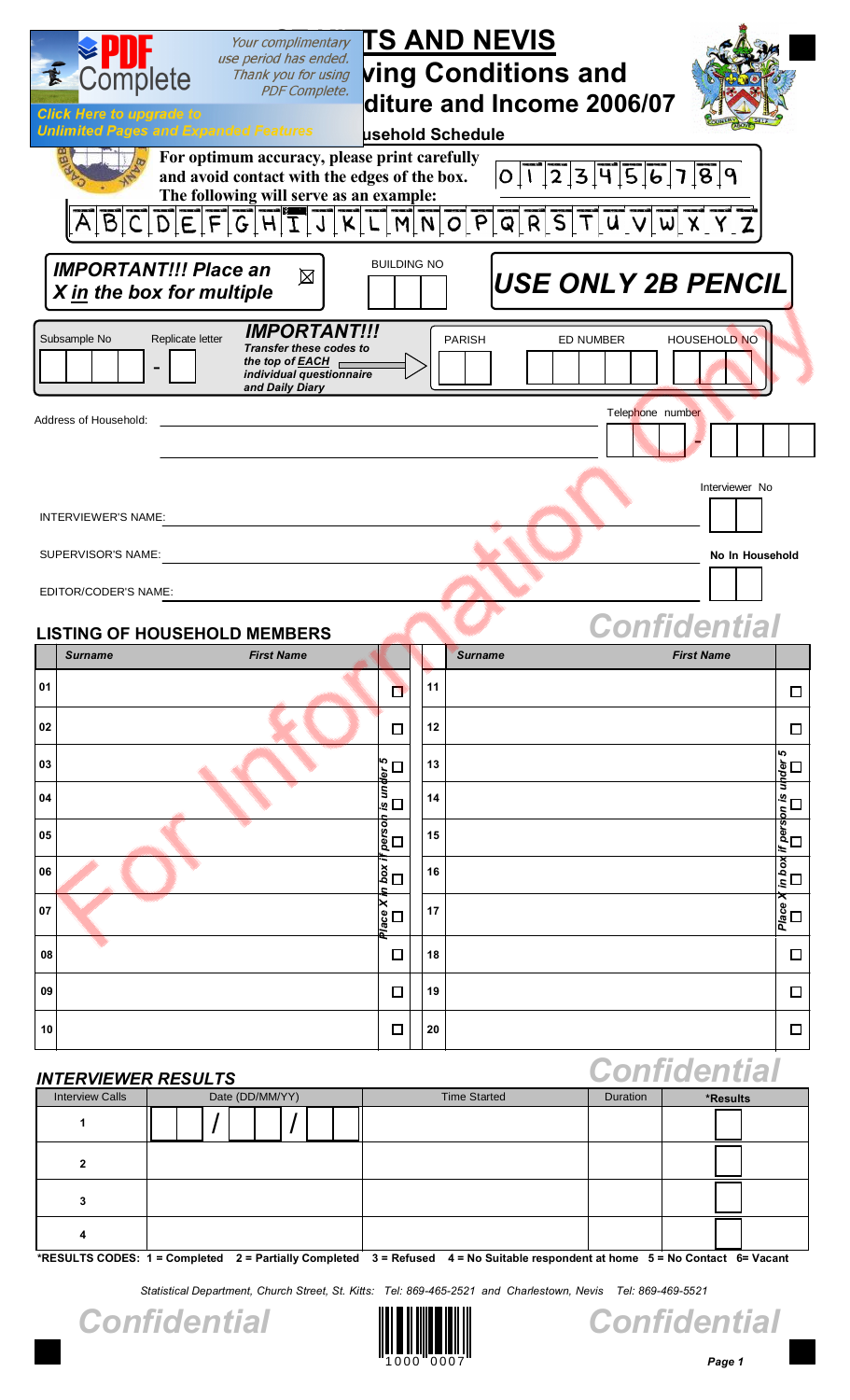| Your complimentary<br>use period has ended.                                                                                                                                | <b>TS AND NEVIS</b>                      |                     |
|----------------------------------------------------------------------------------------------------------------------------------------------------------------------------|------------------------------------------|---------------------|
| Complete<br>Thank you for using<br><b>PDF Complete.</b>                                                                                                                    | <b>ving Conditions and</b>               |                     |
| <b>Click Here to upgrade to</b>                                                                                                                                            | diture and Income 2006/07                |                     |
| <b>Unlimited Pages and Expanded Features</b>                                                                                                                               | usehold Schedule                         |                     |
| For optimum accuracy, please print carefully<br>and avoid contact with the edges of the box.<br>The following will serve as an example:                                    | 0 1 23 456 789                           |                     |
|                                                                                                                                                                            | ABCDEFGHIJKLMNOPQRSTUVWXYZ               |                     |
| <b>IMPORTANT!!! Place an</b><br>図<br>X in the box for multiple                                                                                                             | <b>BUILDING NO</b><br>USE ONLY 2B PENCIL |                     |
| <b>IMPORTANT!!!</b><br>Subsample No<br>Replicate letter<br><b>Transfer these codes to</b><br>the top of EACH $\overline{a}$<br>individual questionnaire<br>and Daily Diary | <b>ED NUMBER</b><br><b>PARISH</b>        | <b>HOUSEHOLD NO</b> |
| Address of Household:                                                                                                                                                      | Telephone number                         |                     |
|                                                                                                                                                                            |                                          | Interviewer No      |
| INTERVIEWER'S NAME:                                                                                                                                                        |                                          |                     |
| SUPERVISOR'S NAME:                                                                                                                                                         |                                          | No In Household     |
| EDITOR/CODER'S NAME:                                                                                                                                                       |                                          |                     |
| <b>LISTING OF HOUSEHOLD MEMBERS</b>                                                                                                                                        | <b>Confidential</b>                      |                     |

|        | <b>LISTING OF HOUSEHOLD MEMBERS</b> |                                  |            |                | Comnuenual        |                    |
|--------|-------------------------------------|----------------------------------|------------|----------------|-------------------|--------------------|
|        | <b>First Name</b><br><b>Surname</b> |                                  |            | <b>Surname</b> | <b>First Name</b> |                    |
| 01     |                                     | $\Box$                           | 11         |                |                   | $\Box$             |
| 02     |                                     | □                                | 12         |                |                   | $\Box$             |
| 03     |                                     |                                  | 13         |                |                   |                    |
| 04     |                                     | person is under 5<br>□   □     □ | 14         |                |                   | u D D D<br>D D D D |
| 05     |                                     |                                  | 15         |                |                   |                    |
| 06     |                                     |                                  | 16         |                |                   | $\overline{\Box}$  |
| 07     |                                     | Place X in box if<br>$\Box$      | 17         |                |                   | Place $X$          |
| 08     |                                     | $\Box$                           | 18         |                |                   | $\Box$             |
| 09     |                                     | $\Box$                           | 19         |                |                   | $\Box$             |
| $10\,$ |                                     | $\Box$                           | ${\bf 20}$ |                |                   | $\Box$             |

# / / *INTERVIEWER RESULTS* Interview Calls **Date (DD/MM/YY)** Time Started **Duration <b>Duration** \*Results **1 2 3 4** *Confidential*

**\*RESULTS CODES: 1 = Completed 2 = Partially Completed 3 = Refused 4 = No Suitable respondent at home 5 = No Contact 6= Vacant**

*Statistical Department, Church Street, St. Kitts: Tel: 869-465-2521 and Charlestown, Nevis Tel: 869-469-5521*





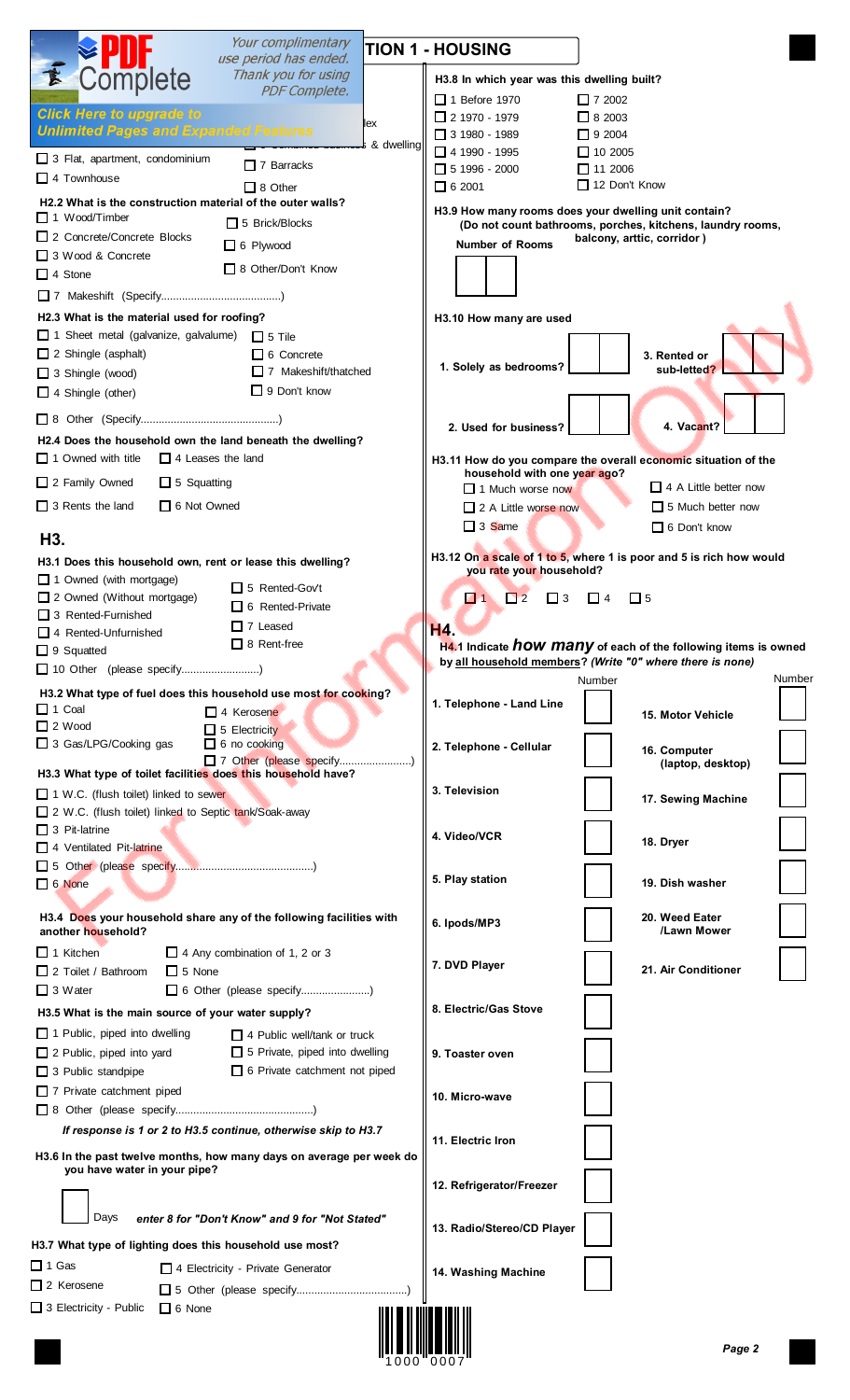|                                                                                              | Your complimentary<br>use period has ended.     |                                                                                                                       | <b>TION 1 - HOUSING</b>                      |                                                                       |
|----------------------------------------------------------------------------------------------|-------------------------------------------------|-----------------------------------------------------------------------------------------------------------------------|----------------------------------------------|-----------------------------------------------------------------------|
| Complete                                                                                     | Thank you for using                             |                                                                                                                       | H3.8 In which year was this dwelling built?  |                                                                       |
|                                                                                              | <b>PDF Complete.</b>                            |                                                                                                                       | $\Box$ 1 Before 1970                         | $\Box$ 7 2002                                                         |
| <b>Click Here to upgrade to</b>                                                              |                                                 | lex                                                                                                                   | $\Box$ 2 1970 - 1979                         | $\Box$ 8 2003                                                         |
| <b>Unlimited Pages and Expanded Features</b>                                                 | , <del>o comonica caemice</del> s & dwelling    |                                                                                                                       | $\Box$ 3 1980 - 1989                         | $\Box$ 9 2004                                                         |
| $\Box$ 3 Flat, apartment, condominium                                                        | $\Box$ 7 Barracks                               |                                                                                                                       | $\Box$ 4 1990 - 1995<br>$\Box$ 5 1996 - 2000 | $\Box$ 10 2005<br>$\Box$ 11 2006                                      |
| $\Box$ 4 Townhouse                                                                           | $\Box$ 8 Other                                  |                                                                                                                       | $\Box$ 6 2001                                | $\Box$ 12 Don't Know                                                  |
| H2.2 What is the construction material of the outer walls?                                   |                                                 |                                                                                                                       |                                              | H3.9 How many rooms does your dwelling unit contain?                  |
| $\Box$ 1 Wood/Timber<br>□ 2 Concrete/Concrete Blocks                                         | $\Box$ 5 Brick/Blocks                           |                                                                                                                       |                                              | (Do not count bathrooms, porches, kitchens, laundry rooms,            |
| 3 Wood & Concrete                                                                            | $\Box$ 6 Plywood                                |                                                                                                                       | <b>Number of Rooms</b>                       | balcony, arttic, corridor)                                            |
| $\Box$ 4 Stone                                                                               | $\Box$ 8 Other/Don't Know                       |                                                                                                                       |                                              |                                                                       |
|                                                                                              |                                                 |                                                                                                                       |                                              |                                                                       |
| H2.3 What is the material used for roofing?                                                  |                                                 |                                                                                                                       | H3.10 How many are used                      |                                                                       |
| □ 1 Sheet metal (galvanize, galvalume) □ 5 Tile                                              |                                                 |                                                                                                                       |                                              |                                                                       |
| $\Box$ 2 Shingle (asphalt)                                                                   | $\Box$ 6 Concrete                               |                                                                                                                       | 1. Solely as bedrooms?                       | 3. Rented or                                                          |
| $\Box$ 3 Shingle (wood)                                                                      | $\Box$ 7 Makeshift/thatched                     |                                                                                                                       |                                              | sub-letted?                                                           |
| $\Box$ 4 Shingle (other)                                                                     | $\Box$ 9 Don't know                             |                                                                                                                       |                                              |                                                                       |
|                                                                                              |                                                 |                                                                                                                       | 2. Used for business?                        | 4. Vacant?                                                            |
| H2.4 Does the household own the land beneath the dwelling?                                   |                                                 |                                                                                                                       |                                              |                                                                       |
| $\Box$ 1 Owned with title<br>$\Box$ 4 Leases the land                                        |                                                 |                                                                                                                       | household with one year ago?                 | H3.11 How do you compare the overall economic situation of the        |
| $\Box$ 2 Family Owned<br>$\Box$ 5 Squatting                                                  |                                                 |                                                                                                                       | $\Box$ 1 Much worse now                      | $\Box$ 4 A Little better now                                          |
| $\Box$ 3 Rents the land<br>$\Box$ 6 Not Owned                                                |                                                 |                                                                                                                       | $\Box$ 2 A Little worse now                  | $\Box$ 5 Much better now                                              |
| H3.                                                                                          |                                                 |                                                                                                                       | $\Box$ 3 Same                                | $\Box$ 6 Don't know                                                   |
|                                                                                              |                                                 |                                                                                                                       |                                              | H3.12 On a scale of 1 to 5, where 1 is poor and 5 is rich how would   |
| H3.1 Does this household own, rent or lease this dwelling?<br>$\Box$ 1 Owned (with mortgage) |                                                 |                                                                                                                       | you rate your household?                     |                                                                       |
| □ 2 Owned (Without mortgage)                                                                 | $\Box$ 5 Rented-Gov't                           |                                                                                                                       | $\blacksquare$<br>$\Box$ 2<br>$\Box$ 3       | $\Box$ 4<br>□ 5                                                       |
| $\Box$ 3 Rented-Furnished                                                                    | 6 Rented-Private                                |                                                                                                                       |                                              |                                                                       |
| $\Box$ 4 Rented-Unfurnished                                                                  | $\Box$ 7 Leased<br>$\Box$ 8 Rent-free           |                                                                                                                       | H4.                                          | H4.1 Indicate <b>how many</b> of each of the following items is owned |
| $\Box$ 9 Squatted<br>10 Other (please specify)                                               |                                                 |                                                                                                                       |                                              | by all household members? (Write "0" where there is none)             |
|                                                                                              |                                                 |                                                                                                                       |                                              | Number<br>Number                                                      |
| H3.2 What type of fuel does this household use most for cooking?<br>$\Box$ 1 Coal            | $\Box$ 4 Kerosene                               |                                                                                                                       | 1. Telephone - Land Line                     |                                                                       |
| $\Box$ 2 Wood                                                                                | $\Box$ 5 Electricity                            |                                                                                                                       |                                              | 15. Motor Vehicle                                                     |
| $\Box$ 3 Gas/LPG/Cooking gas                                                                 | $\Box$ 6 no cooking                             |                                                                                                                       | 2. Telephone - Cellular                      | 16. Computer                                                          |
| H3.3 What type of toilet facilities does this household have?                                | 7 Other (please specify)                        |                                                                                                                       |                                              | (laptop, desktop)                                                     |
| $\Box$ 1 W.C. (flush toilet) linked to sewer                                                 |                                                 |                                                                                                                       | 3. Television                                |                                                                       |
| 2 W.C. (flush toilet) linked to Septic tank/Soak-away                                        |                                                 |                                                                                                                       |                                              | 17. Sewing Machine                                                    |
| $\Box$ 3 Pit-latrine                                                                         |                                                 |                                                                                                                       | 4. Video/VCR                                 | 18. Dryer                                                             |
| 4 Ventilated Pit-latrine                                                                     |                                                 |                                                                                                                       |                                              |                                                                       |
| $\Box$ 6 None                                                                                |                                                 |                                                                                                                       | 5. Play station                              | 19. Dish washer                                                       |
|                                                                                              |                                                 |                                                                                                                       |                                              |                                                                       |
| H3.4 Does your household share any of the following facilities with                          |                                                 |                                                                                                                       | 6. Ipods/MP3                                 | 20. Weed Eater                                                        |
| another household?                                                                           |                                                 |                                                                                                                       |                                              | /Lawn Mower                                                           |
| $\Box$ 1 Kitchen<br>$\Box$ 2 Toilet / Bathroom<br>$\Box$ 5 None                              | $\Box$ 4 Any combination of 1, 2 or 3           |                                                                                                                       | 7. DVD Player                                | 21. Air Conditioner                                                   |
| $\Box$ 3 Water                                                                               |                                                 |                                                                                                                       |                                              |                                                                       |
| H3.5 What is the main source of your water supply?                                           |                                                 |                                                                                                                       | 8. Electric/Gas Stove                        |                                                                       |
| $\Box$ 1 Public, piped into dwelling                                                         | $\Box$ 4 Public well/tank or truck              |                                                                                                                       |                                              |                                                                       |
| $\Box$ 2 Public, piped into yard                                                             | $\Box$ 5 Private, piped into dwelling           |                                                                                                                       | 9. Toaster oven                              |                                                                       |
| $\Box$ 3 Public standpipe                                                                    | $\Box$ 6 Private catchment not piped            |                                                                                                                       |                                              |                                                                       |
| $\Box$ 7 Private catchment piped                                                             |                                                 |                                                                                                                       | 10. Micro-wave                               |                                                                       |
|                                                                                              |                                                 |                                                                                                                       |                                              |                                                                       |
| If response is 1 or 2 to H3.5 continue, otherwise skip to H3.7                               |                                                 |                                                                                                                       | 11. Electric Iron                            |                                                                       |
| H3.6 In the past twelve months, how many days on average per week do                         |                                                 |                                                                                                                       |                                              |                                                                       |
| you have water in your pipe?                                                                 |                                                 |                                                                                                                       | 12. Refrigerator/Freezer                     |                                                                       |
|                                                                                              |                                                 |                                                                                                                       |                                              |                                                                       |
| Days                                                                                         | enter 8 for "Don't Know" and 9 for "Not Stated" |                                                                                                                       | 13. Radio/Stereo/CD Player                   |                                                                       |
| H3.7 What type of lighting does this household use most?                                     |                                                 |                                                                                                                       |                                              |                                                                       |
| $\Box$ 1 Gas                                                                                 | $\Box$ 4 Electricity - Private Generator        |                                                                                                                       | 14. Washing Machine                          |                                                                       |
| $\Box$ 2 Kerosene                                                                            |                                                 |                                                                                                                       |                                              |                                                                       |
| 3 Electricity - Public<br>$\Box$ 6 None                                                      |                                                 | <u> 11 A   11 A   11 A   11 A   11 A   11 A   11 A   11 A   11 A   11 A   11 A   11 A   11 A   11 A   11 A   11 A</u> |                                              |                                                                       |

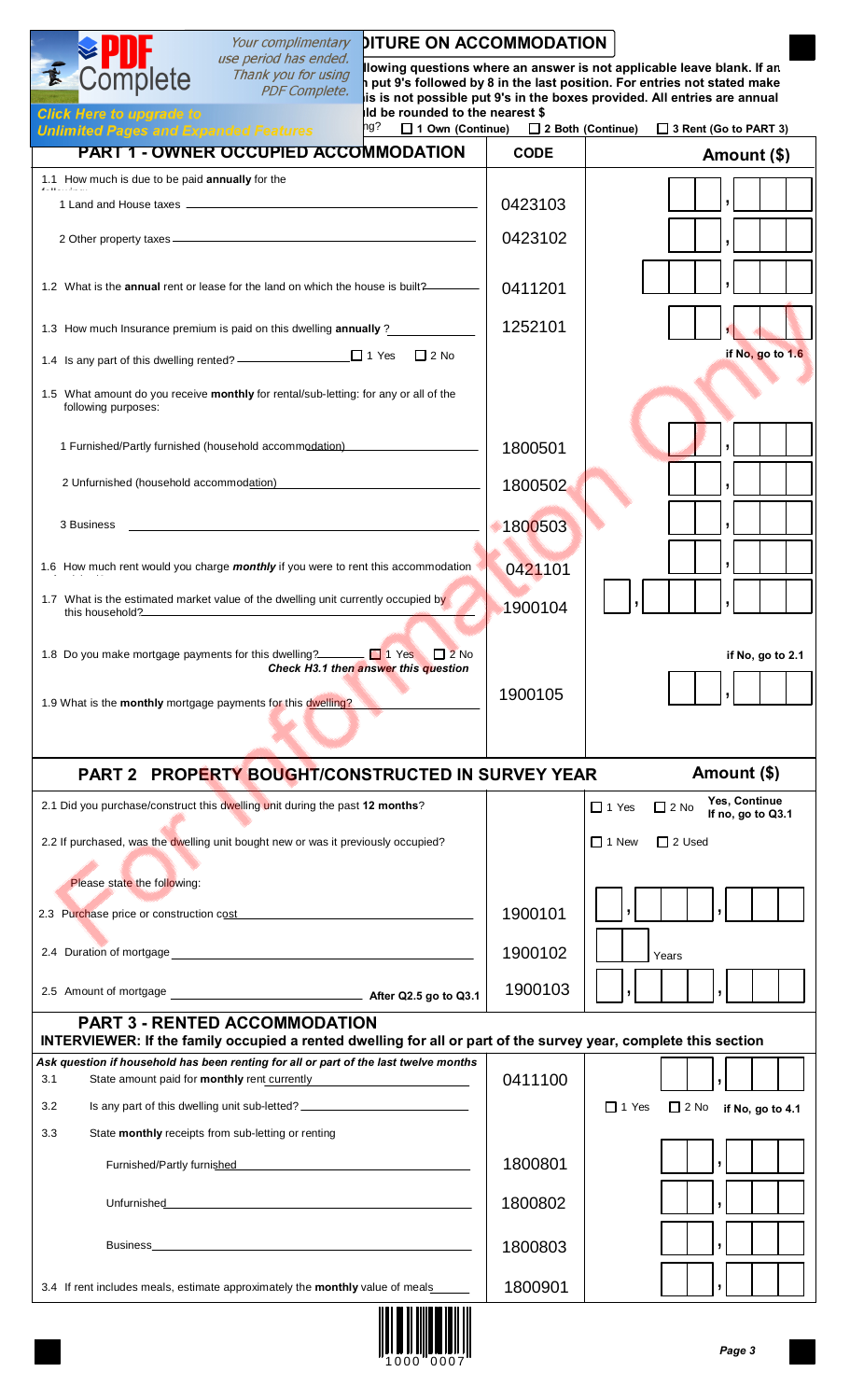| Your complimentary                                                                                                                                                                                                                   | <b>DITURE ON ACCOMMODATION</b>                                                                                                                                                                                                                                              |                                                  |  |  |  |  |  |  |  |
|--------------------------------------------------------------------------------------------------------------------------------------------------------------------------------------------------------------------------------------|-----------------------------------------------------------------------------------------------------------------------------------------------------------------------------------------------------------------------------------------------------------------------------|--------------------------------------------------|--|--|--|--|--|--|--|
| use period has ended.<br>Complete<br>Thank you for using<br><b>PDF Complete.</b><br>Id be rounded to the nearest \$<br><b>Click Here to upgrade to</b><br>ng?<br>□ 1 Own (Continue)                                                  | llowing questions where an answer is not applicable leave blank. If an<br>put 9's followed by 8 in the last position. For entries not stated make<br>is is not possible put 9's in the boxes provided. All entries are annual<br>2 Both (Continue)<br>3 Rent (Go to PART 3) |                                                  |  |  |  |  |  |  |  |
| <b>Unlimited Pages and Expanded Features</b><br><b>PART 1 - OWNER OCCUPIED ACCOMMODATION</b>                                                                                                                                         | <b>CODE</b>                                                                                                                                                                                                                                                                 | Amount (\$)                                      |  |  |  |  |  |  |  |
| 1.1 How much is due to be paid annually for the                                                                                                                                                                                      |                                                                                                                                                                                                                                                                             |                                                  |  |  |  |  |  |  |  |
|                                                                                                                                                                                                                                      | 0423103                                                                                                                                                                                                                                                                     |                                                  |  |  |  |  |  |  |  |
|                                                                                                                                                                                                                                      | 0423102                                                                                                                                                                                                                                                                     |                                                  |  |  |  |  |  |  |  |
| 1.2 What is the <b>annual</b> rent or lease for the land on which the house is built?                                                                                                                                                | 0411201                                                                                                                                                                                                                                                                     |                                                  |  |  |  |  |  |  |  |
| 1.3 How much Insurance premium is paid on this dwelling annually ?                                                                                                                                                                   | 1252101                                                                                                                                                                                                                                                                     |                                                  |  |  |  |  |  |  |  |
| $\Box$ 2 No                                                                                                                                                                                                                          |                                                                                                                                                                                                                                                                             | if No, go to 1.6                                 |  |  |  |  |  |  |  |
| 1.5 What amount do you receive monthly for rental/sub-letting: for any or all of the<br>following purposes:                                                                                                                          |                                                                                                                                                                                                                                                                             |                                                  |  |  |  |  |  |  |  |
|                                                                                                                                                                                                                                      |                                                                                                                                                                                                                                                                             |                                                  |  |  |  |  |  |  |  |
| 1 Furnished/Partly furnished (household accommodation)                                                                                                                                                                               | 1800501                                                                                                                                                                                                                                                                     |                                                  |  |  |  |  |  |  |  |
| 2 Unfurnished (household accommodation)                                                                                                                                                                                              | 1800502                                                                                                                                                                                                                                                                     |                                                  |  |  |  |  |  |  |  |
| 3 Business                                                                                                                                                                                                                           | 1800503                                                                                                                                                                                                                                                                     |                                                  |  |  |  |  |  |  |  |
| 1.6 How much rent would you charge monthly if you were to rent this accommodation                                                                                                                                                    | 0421101                                                                                                                                                                                                                                                                     |                                                  |  |  |  |  |  |  |  |
| 1.7 What is the estimated market value of the dwelling unit currently occupied by<br>this household?                                                                                                                                 | 1900104                                                                                                                                                                                                                                                                     |                                                  |  |  |  |  |  |  |  |
| 1.8 Do you make mortgage payments for this dwelling? $\Box$ 1 Yes $\Box$ 2 No<br>Check H3.1 then answer this question                                                                                                                |                                                                                                                                                                                                                                                                             | if No, go to 2.1                                 |  |  |  |  |  |  |  |
| 1.9 What is the monthly mortgage payments for this dwelling?                                                                                                                                                                         | 1900105                                                                                                                                                                                                                                                                     |                                                  |  |  |  |  |  |  |  |
|                                                                                                                                                                                                                                      |                                                                                                                                                                                                                                                                             |                                                  |  |  |  |  |  |  |  |
| <b>PART 2 PROPERTY BOUGHT/CONSTRUCTED IN SURVEY YEAR</b>                                                                                                                                                                             |                                                                                                                                                                                                                                                                             | Amount (\$)<br>Yes, Continue                     |  |  |  |  |  |  |  |
| 2.1 Did you purchase/construct this dwelling unit during the past 12 months?                                                                                                                                                         |                                                                                                                                                                                                                                                                             | $\Box$ 1 Yes<br>$\Box$ 2 No<br>If no, go to Q3.1 |  |  |  |  |  |  |  |
| 2.2 If purchased, was the dwelling unit bought new or was it previously occupied?                                                                                                                                                    |                                                                                                                                                                                                                                                                             | $\Box$ 1 New<br>$\Box$ 2 Used                    |  |  |  |  |  |  |  |
| Please state the following:                                                                                                                                                                                                          |                                                                                                                                                                                                                                                                             |                                                  |  |  |  |  |  |  |  |
| 2.3 Purchase price or construction cost                                                                                                                                                                                              | 1900101                                                                                                                                                                                                                                                                     |                                                  |  |  |  |  |  |  |  |
|                                                                                                                                                                                                                                      | 1900102                                                                                                                                                                                                                                                                     | Years                                            |  |  |  |  |  |  |  |
|                                                                                                                                                                                                                                      | 1900103                                                                                                                                                                                                                                                                     |                                                  |  |  |  |  |  |  |  |
| <b>PART 3 - RENTED ACCOMMODATION</b><br>INTERVIEWER: If the family occupied a rented dwelling for all or part of the survey year, complete this section                                                                              |                                                                                                                                                                                                                                                                             |                                                  |  |  |  |  |  |  |  |
| Ask question if household has been renting for all or part of the last twelve months<br>State amount paid for <b>monthly</b> rent currently<br>3.1                                                                                   | 0411100                                                                                                                                                                                                                                                                     |                                                  |  |  |  |  |  |  |  |
| Is any part of this dwelling unit sub-letted? __________________________________<br>3.2                                                                                                                                              |                                                                                                                                                                                                                                                                             | $\Box$ 1 Yes<br>$\Box$ 2 No if No, go to 4.1     |  |  |  |  |  |  |  |
| 3.3<br>State monthly receipts from sub-letting or renting                                                                                                                                                                            |                                                                                                                                                                                                                                                                             |                                                  |  |  |  |  |  |  |  |
| Furnished/Partly furnished                                                                                                                                                                                                           | 1800801                                                                                                                                                                                                                                                                     |                                                  |  |  |  |  |  |  |  |
|                                                                                                                                                                                                                                      | 1800802                                                                                                                                                                                                                                                                     |                                                  |  |  |  |  |  |  |  |
| <u>Business and the community of the community of the community of the community of the community of the community of the community of the community of the community of the community of the community of the community of the </u> | 1800803                                                                                                                                                                                                                                                                     |                                                  |  |  |  |  |  |  |  |
| 3.4 If rent includes meals, estimate approximately the monthly value of meals                                                                                                                                                        | 1800901                                                                                                                                                                                                                                                                     | $\mathbf{I}$                                     |  |  |  |  |  |  |  |
| <u> Al II-le de Billio de libre el l</u>                                                                                                                                                                                             |                                                                                                                                                                                                                                                                             |                                                  |  |  |  |  |  |  |  |

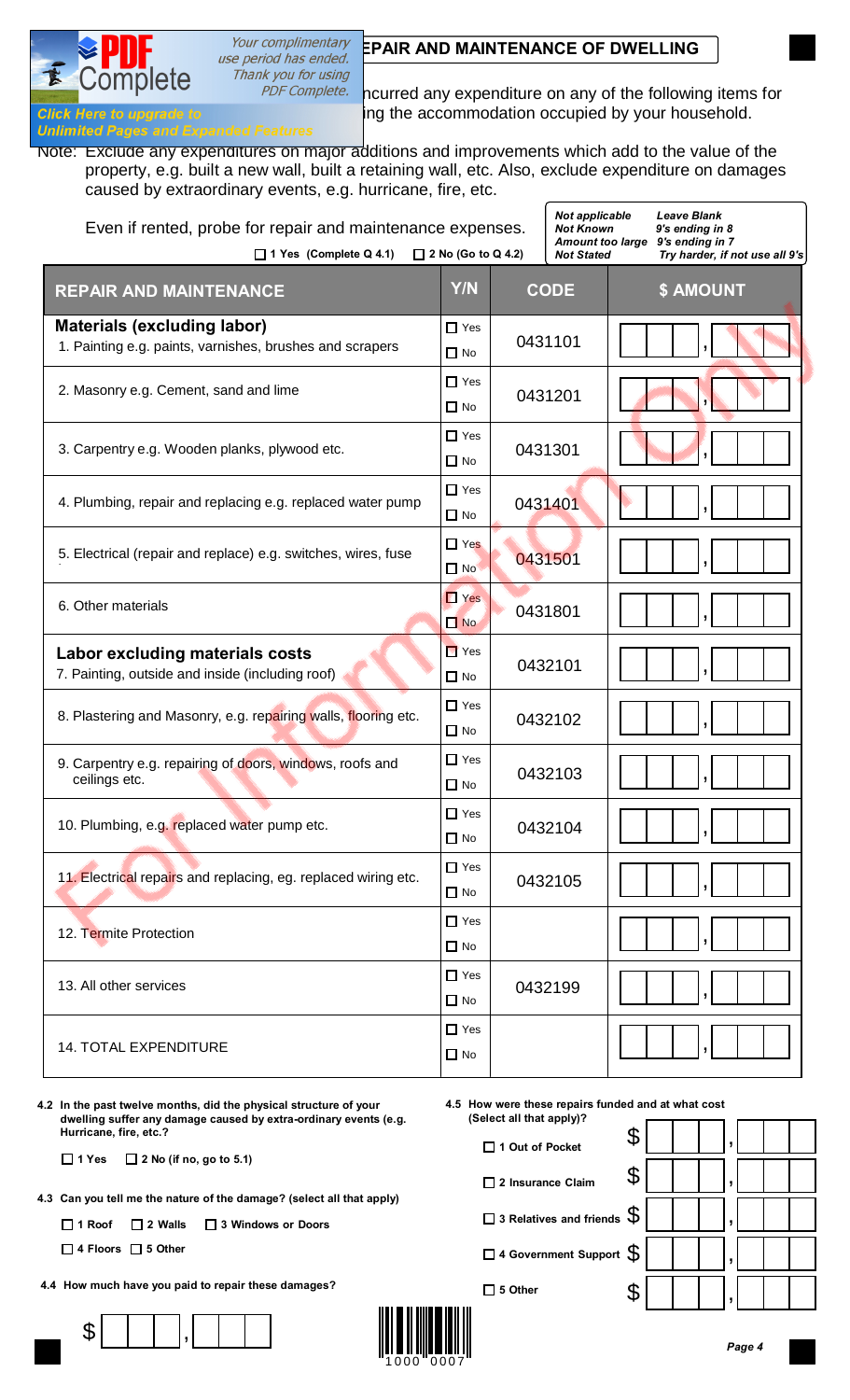

Thank you for using

 $n<sub>1</sub>$ 

PDF Complete. nourred any expenditure on any of the following items for **Click Here to upgrade to commodation and maintaining the accommodation occupied by your household.** 

**Unlimited Pages and Expanding** Note: Exclude any expenditures on major additions and improvements which add to the value of the property, e.g. built a new wall, built a retaining wall, etc. Also, exclude expenditure on damages caused by extraordinary events, e.g. hurricane, fire, etc.

| Even if rented, probe for repair and maintenance expenses.<br>$\Box$ 2 No (Go to Q 4.2)<br>$\Box$ 1 Yes (Complete Q 4.1) | Not applicable<br><b>Not Known</b><br><b>Amount too large</b><br><b>Not Stated</b> | <b>Leave Blank</b><br>9's ending in 8<br>9's ending in 7<br>Try harder, if not use all 9's |             |                  |
|--------------------------------------------------------------------------------------------------------------------------|------------------------------------------------------------------------------------|--------------------------------------------------------------------------------------------|-------------|------------------|
| <b>REPAIR AND MAINTENANCE</b>                                                                                            | <b>Y/N</b>                                                                         |                                                                                            | <b>CODE</b> | <b>\$ AMOUNT</b> |
| <b>Materials (excluding labor)</b><br>1. Painting e.g. paints, varnishes, brushes and scrapers                           | $\Box$ Yes<br>$\Box$ No                                                            |                                                                                            | 0431101     |                  |
| 2. Masonry e.g. Cement, sand and lime                                                                                    | $\Box$ Yes<br>$\Box$ No                                                            |                                                                                            | 0431201     |                  |
| 3. Carpentry e.g. Wooden planks, plywood etc.                                                                            | $\Box$ Yes<br>$\Box$ No                                                            | 0431301                                                                                    |             |                  |
| 4. Plumbing, repair and replacing e.g. replaced water pump                                                               | $\Box$ Yes<br>$\Box$ No                                                            | 0431401                                                                                    |             |                  |
| 5. Electrical (repair and replace) e.g. switches, wires, fuse                                                            | $\Box$ Yes<br>$\Box$ No                                                            |                                                                                            | 0431501     |                  |
| 6. Other materials                                                                                                       | $\Box$ Yes<br>$\Box$ No                                                            |                                                                                            | 0431801     |                  |
| <b>Labor excluding materials costs</b><br>7. Painting, outside and inside (including roof)                               | $\blacksquare$ Yes<br>$\square$ No                                                 |                                                                                            | 0432101     |                  |
| 8. Plastering and Masonry, e.g. repairing walls, flooring etc.                                                           | $\Box$ Yes<br>$\Box$ No                                                            |                                                                                            | 0432102     |                  |
| 9. Carpentry e.g. repairing of doors, windows, roofs and<br>ceilings etc.                                                | $\Box$ Yes<br>$\Box$ No                                                            |                                                                                            | 0432103     |                  |
| 10. Plumbing, e.g. replaced water pump etc.                                                                              | $\Box$ Yes<br>$\Box$ No                                                            |                                                                                            | 0432104     | $\vert$ ,        |
| 11. Electrical repairs and replacing, eg. replaced wiring etc.                                                           | $\Box$ Yes<br>$\Box$ No                                                            |                                                                                            | 0432105     |                  |
| 12. Termite Protection                                                                                                   | $\Box$ Yes<br>$\Box$ No                                                            |                                                                                            |             |                  |
| 13. All other services                                                                                                   | $\Box$ Yes<br>$\Box$ No                                                            |                                                                                            | 0432199     |                  |
| <b>14. TOTAL EXPENDITURE</b>                                                                                             | $\Box$ Yes<br>$\Box$ No                                                            |                                                                                            |             |                  |

**4.2 In the past twelve months, did the physical structure of your dwelling suffer any damage caused by extra-ordinary events (e.g. Hurricane, fire, etc.?**

**1 Yes 2 No (if no, go to 5.1)**

**4.3 Can you tell me the nature of the damage? (select all that apply)**

**1 Roof 2 Walls 3 Windows or Doors**

**4 Floors 5 Other**

**4.4 How much have you paid to repair these damages?**







**1 Out of Pocket**

**2 Insurance Claim 3 Relatives and friends 4 Government Support**  $\frac{1}{2}$ \$ | | |, \$ | | |,  $\frac{1}{2}$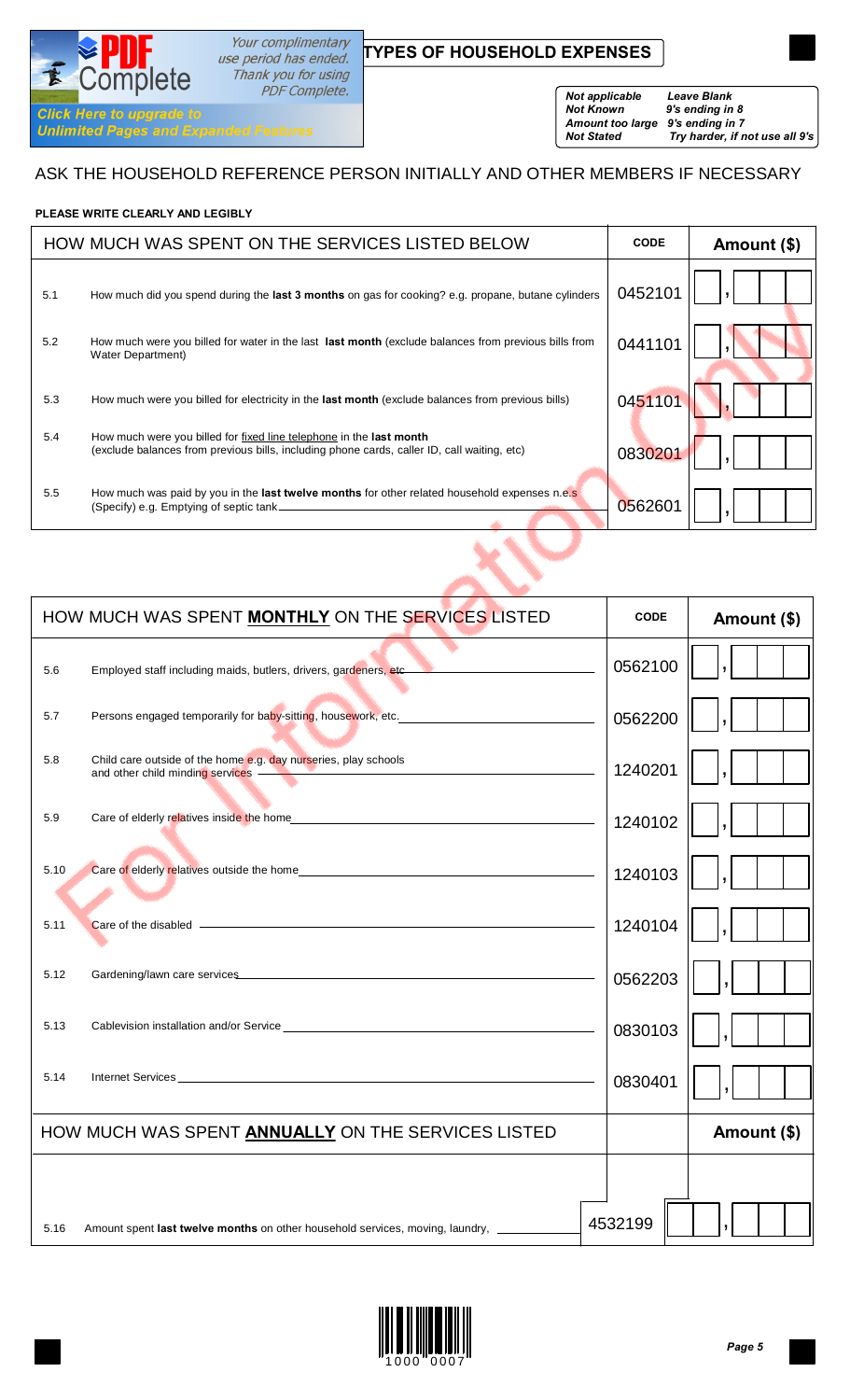# Your complimentary<br>use period has ended. **TYPES OF HOUSEHOLD EXPENSES**

Thank you for using PDF Complete.

#### *Not applicable Leave Blank Not Known 9's ending in 8 Amount too large 9's ending in 7*

*Not Stated Try harder, if not use all 9's*

ASK THE HOUSEHOLD REFERENCE PERSON INITIALLY AND OTHER MEMBERS IF NECESSARY

## **PLEASE WRITE CLEARLY AND LEGIBLY**

**EPUT**<br>Complete

**Unlimited Pages and Expanded Features** 

**Click Here to upgrade to** 

E

|     | HOW MUCH WAS SPENT ON THE SERVICES LISTED BELOW                                                                                                                    | <b>CODE</b> | Amount (\$) |
|-----|--------------------------------------------------------------------------------------------------------------------------------------------------------------------|-------------|-------------|
| 5.1 | How much did you spend during the last 3 months on gas for cooking? e.g. propane, butane cylinders                                                                 | 0452101     |             |
| 5.2 | How much were you billed for water in the last last month (exclude balances from previous bills from<br>Water Department)                                          | 0441101     |             |
| 5.3 | How much were you billed for electricity in the last month (exclude balances from previous bills)                                                                  | 045110      |             |
| 5.4 | How much were you billed for fixed line telephone in the last month<br>(exclude balances from previous bills, including phone cards, caller ID, call waiting, etc) | 0830201     |             |
| 5.5 | How much was paid by you in the last twelve months for other related household expenses n.e.s<br>(Specify) e.g. Emptying of septic tank.                           | 0562601     |             |
|     |                                                                                                                                                                    |             |             |

|      | HOW MUCH WAS SPENT MONTHLY ON THE SERVICES LISTED                                                                                                                                                                                    | <b>CODE</b> | Amount (\$) |
|------|--------------------------------------------------------------------------------------------------------------------------------------------------------------------------------------------------------------------------------------|-------------|-------------|
| 5.6  | Employed staff including maids, butlers, drivers, gardeners, etc. Manuscription and the main staff including                                                                                                                         | 0562100     |             |
| 5.7  | Persons engaged temporarily for baby-sitting, housework, etc.                                                                                                                                                                        | 0562200     |             |
| 5.8  | Child care outside of the home e.g. day nurseries, play schools<br>and other child minding services                                                                                                                                  | 1240201     |             |
| 5.9  |                                                                                                                                                                                                                                      | 1240102     |             |
| 5.10 |                                                                                                                                                                                                                                      | 1240103     |             |
| 5.11 |                                                                                                                                                                                                                                      | 1240104     |             |
| 5.12 | Gardening/lawn care services <b>contained a service of the service of the service of the service of the service of the service of the service of the service of the service of the service of the service of the service of the </b> | 0562203     |             |
| 5.13 |                                                                                                                                                                                                                                      | 0830103     |             |
| 5.14 | Internet Services                                                                                                                                                                                                                    | 0830401     |             |
|      | HOW MUCH WAS SPENT ANNUALLY ON THE SERVICES LISTED                                                                                                                                                                                   |             | Amount (\$) |
|      |                                                                                                                                                                                                                                      |             |             |
| 5.16 | Amount spent last twelve months on other household services, moving, laundry, _________                                                                                                                                              | 4532199     |             |

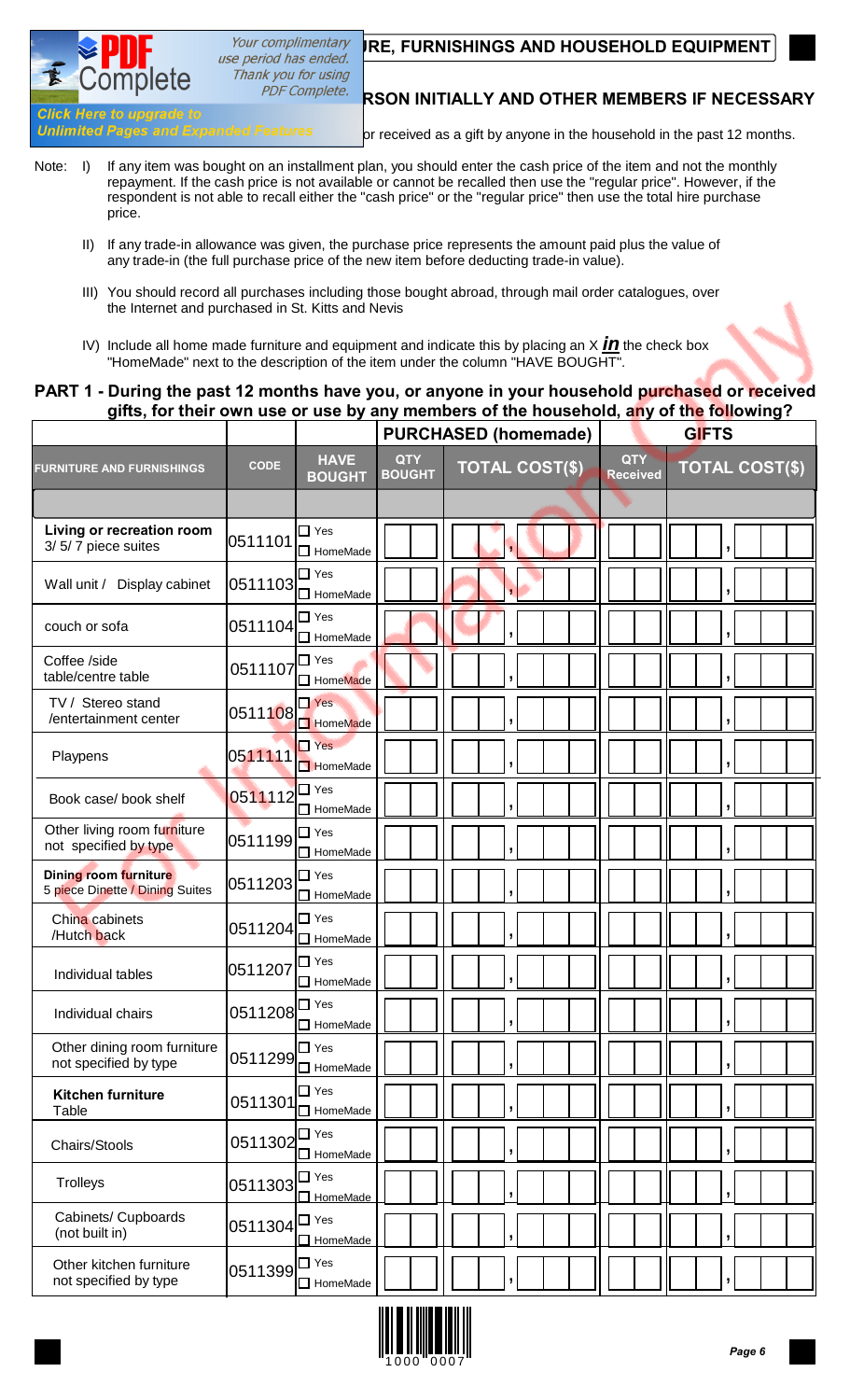# Your complimentary **RE, FURNISHINGS AND HOUSEHOLD EQUIPMENT** use period has ended.

Thank you for using

# **ASK COTTIVICTS**<br>Click Here to upgrade to

 $n<sub>1</sub>$ 

Unlimited Pages and Expanded Features or received as a gift by anyone in the household in the past 12 months.

- Note: I) If any item was bought on an installment plan, you should enter the cash price of the item and not the monthly repayment. If the cash price is not available or cannot be recalled then use the "regular price". However, if the respondent is not able to recall either the "cash price" or the "regular price" then use the total hire purchase price.
	- II) If any trade-in allowance was given, the purchase price represents the amount paid plus the value of any trade-in (the full purchase price of the new item before deducting trade-in value).
	- III) You should record all purchases including those bought abroad, through mail order catalogues, over the Internet and purchased in St. Kitts and Nevis
	- IV) Include all home made furniture and equipment and indicate this by placing an  $X$  *in* the check box "HomeMade" next to the description of the item under the column "HAVE BOUGHT".

## **PART 1 - During the past 12 months have you, or anyone in your household purchased or received gifts, for their own use or use by any members of the household, any of the following?**

|                                                          |             |                                  |                             | <b>PURCHASED (homemade)</b> |                               | <b>GIFTS</b>          |  |  |  |
|----------------------------------------------------------|-------------|----------------------------------|-----------------------------|-----------------------------|-------------------------------|-----------------------|--|--|--|
| <b>FURNITURE AND FURNISHINGS</b>                         | <b>CODE</b> | <b>HAVE</b><br><b>BOUGHT</b>     | <b>QTY</b><br><b>BOUGHT</b> | <b>TOTAL COST(\$)</b>       | <b>QTY</b><br><b>Received</b> | <b>TOTAL COST(\$)</b> |  |  |  |
| Living or recreation room<br>3/5/7 piece suites          | 0511101     | $\Box$ Yes<br>$\Box$ HomeMade    |                             |                             |                               |                       |  |  |  |
| Wall unit / Display cabinet                              | 0511103     | $\Box$ Yes<br>$\Box$ HomeMade    |                             |                             |                               |                       |  |  |  |
| couch or sofa                                            | 0511104     | $\Box$ Yes<br>□ HomeMade         |                             |                             |                               |                       |  |  |  |
| Coffee /side<br>table/centre table                       | 0511107     | $\Box$ Yes<br>HomeMade           |                             |                             |                               |                       |  |  |  |
| TV / Stereo stand<br>/entertainment center               | 0511108     | $\Box$ Yes<br>HomeMade           |                             |                             |                               |                       |  |  |  |
| Playpens                                                 | 0511111     | $\Box$ Yes<br>HomeMade           |                             |                             |                               |                       |  |  |  |
| Book case/ book shelf                                    | 0511112     | $\Box$ Yes<br>$\Box$ HomeMade    |                             |                             |                               |                       |  |  |  |
| Other living room furniture<br>not specified by type     | 0511199     | $\Box$ Yes<br>$\Box$ HomeMade    |                             |                             |                               |                       |  |  |  |
| Dining room furniture<br>5 piece Dinette / Dining Suites | 0511203     | $\Box$ Yes<br>HomeMade           |                             |                             |                               |                       |  |  |  |
| China cabinets<br>/Hutch back                            | 0511204     | $\square$ Yes<br>$\Box$ HomeMade |                             |                             |                               |                       |  |  |  |
| Individual tables                                        | 0511207     | $\Box$ Yes<br>$\Box$ HomeMade    |                             | j                           |                               |                       |  |  |  |
| Individual chairs                                        | 0511208     | $\Box$ Yes<br>$\Box$ HomeMade    |                             |                             |                               |                       |  |  |  |
| Other dining room furniture<br>not specified by type     | 0511299     | $\Box$ Yes<br>HomeMade           |                             | $\overline{ }$              |                               |                       |  |  |  |
| <b>Kitchen furniture</b><br>Table                        | 0511301     | $\Box$ Yes<br>HomeMade           |                             | $\overline{ }$              |                               |                       |  |  |  |
| Chairs/Stools                                            | 0511302     | $\Box$ Yes<br>$\Box$ HomeMade    |                             |                             |                               |                       |  |  |  |
| Trolleys                                                 | 0511303     | $\square$ Yes<br>$\Box$ HomeMade |                             |                             |                               |                       |  |  |  |
| Cabinets/ Cupboards<br>(not built in)                    | 0511304     | $\Box$ Yes<br>$\Box$ HomeMade    |                             | ,                           |                               |                       |  |  |  |
| Other kitchen furniture<br>not specified by type         | 0511399     | $\square$ Yes<br>HomeMade        |                             |                             |                               |                       |  |  |  |

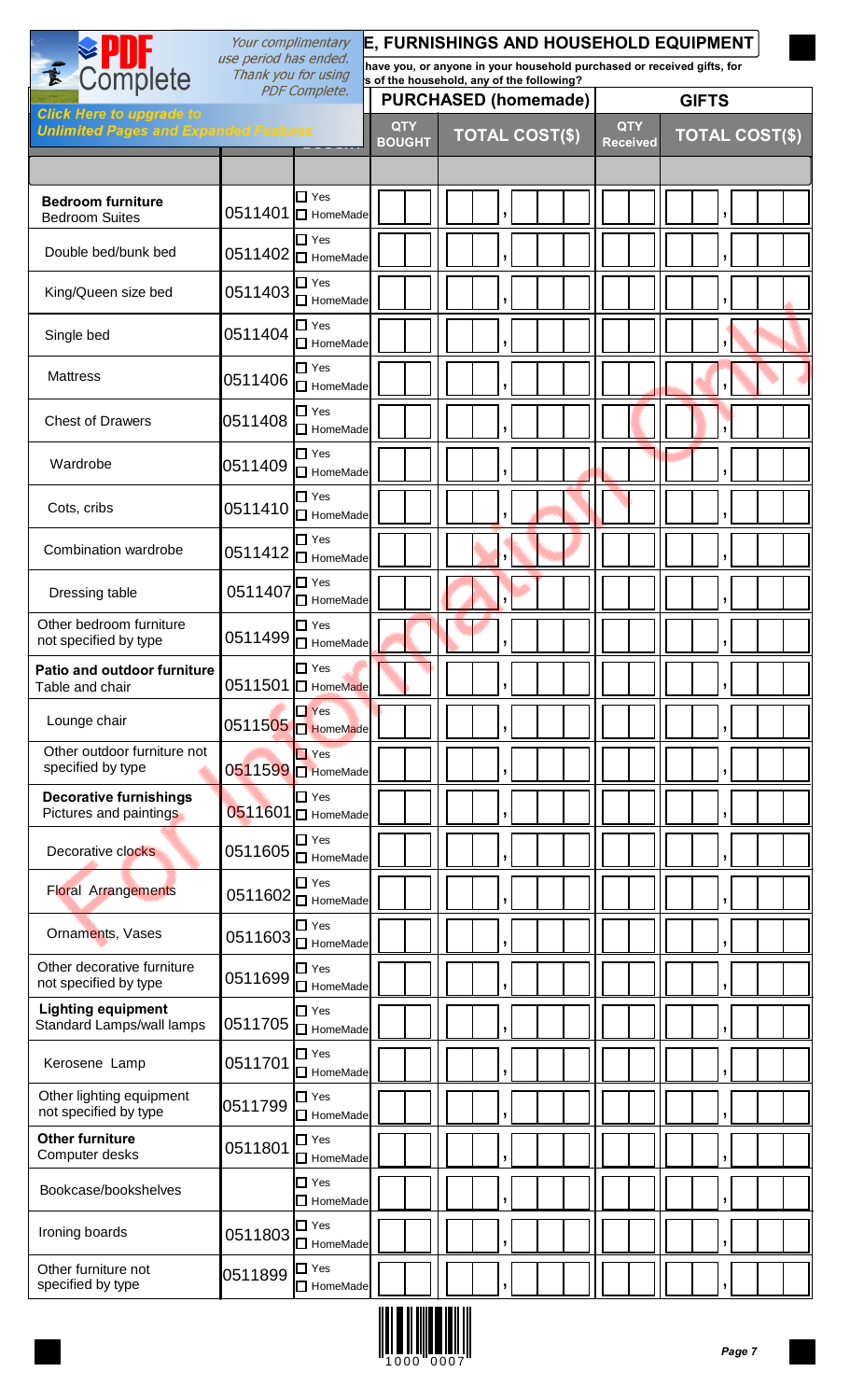|                                                         | Your complimentary                           |                                                                   | E, FURNISHINGS AND HOUSEHOLD EQUIPMENT                                                                              |                             |  |              |  |   |                       |  |  |                               |  |                       |   |  |  |
|---------------------------------------------------------|----------------------------------------------|-------------------------------------------------------------------|---------------------------------------------------------------------------------------------------------------------|-----------------------------|--|--------------|--|---|-----------------------|--|--|-------------------------------|--|-----------------------|---|--|--|
| E Complete                                              | use period has ended.<br>Thank you for using |                                                                   | have you, or anyone in your household purchased or received gifts, for<br>s of the household, any of the following? |                             |  |              |  |   |                       |  |  |                               |  |                       |   |  |  |
| <b>Click Here to upgrade to</b>                         |                                              | <b>PDF Complete.</b>                                              | <b>PURCHASED (homemade)</b>                                                                                         |                             |  | <b>GIFTS</b> |  |   |                       |  |  |                               |  |                       |   |  |  |
| <b>Unlimited Pages and Expanded Features</b>            |                                              |                                                                   |                                                                                                                     | <b>QTY</b><br><b>BOUGHT</b> |  |              |  |   | <b>TOTAL COST(\$)</b> |  |  | <b>QTY</b><br><b>Received</b> |  | <b>TOTAL COST(\$)</b> |   |  |  |
|                                                         |                                              |                                                                   |                                                                                                                     |                             |  |              |  |   |                       |  |  |                               |  |                       |   |  |  |
| <b>Bedroom furniture</b><br><b>Bedroom Suites</b>       |                                              | $\Box$ Yes<br>0511401 □ HomeMade                                  |                                                                                                                     |                             |  |              |  |   |                       |  |  |                               |  |                       |   |  |  |
| Double bed/bunk bed                                     |                                              | $\Box$ Yes<br>0511402   HomeMade                                  |                                                                                                                     |                             |  |              |  | , |                       |  |  |                               |  |                       |   |  |  |
| King/Queen size bed                                     | 0511403                                      | $\Box$ Yes<br>HomeMade                                            |                                                                                                                     |                             |  |              |  | ŋ |                       |  |  |                               |  |                       |   |  |  |
| Single bed                                              | 0511404                                      | $\Box$ Yes<br>HomeMade                                            |                                                                                                                     |                             |  |              |  |   |                       |  |  |                               |  |                       |   |  |  |
| <b>Mattress</b>                                         | 0511406                                      | $\square$ Yes<br>HomeMade                                         |                                                                                                                     |                             |  |              |  |   |                       |  |  |                               |  |                       |   |  |  |
| <b>Chest of Drawers</b>                                 | 0511408                                      | $\Box$ Yes<br>$\Box$ HomeMade                                     |                                                                                                                     |                             |  |              |  |   |                       |  |  |                               |  |                       |   |  |  |
| Wardrobe                                                | 0511409                                      | $\Box$ Yes<br>$\Box$ HomeMade                                     |                                                                                                                     |                             |  |              |  |   |                       |  |  |                               |  |                       |   |  |  |
| Cots, cribs                                             | 0511410                                      | $\Box$ Yes<br>HomeMade                                            |                                                                                                                     |                             |  |              |  |   |                       |  |  |                               |  |                       |   |  |  |
| Combination wardrobe                                    | 0511412                                      | $\Box$ Yes<br>HomeMade                                            |                                                                                                                     |                             |  |              |  |   |                       |  |  |                               |  |                       |   |  |  |
| Dressing table                                          | 0511407                                      | $\Box$ Yes<br>□ HomeMade                                          |                                                                                                                     |                             |  |              |  |   |                       |  |  |                               |  |                       |   |  |  |
| Other bedroom furniture<br>not specified by type        |                                              | $\Box$ Yes<br>$0511499$ HomeMade                                  |                                                                                                                     |                             |  |              |  |   |                       |  |  |                               |  |                       |   |  |  |
| <b>Patio and outdoor furniture</b><br>Table and chair   |                                              | $\Box$ Yes<br>0511501 D HomeMade                                  |                                                                                                                     |                             |  |              |  |   |                       |  |  |                               |  |                       |   |  |  |
| Lounge chair                                            | 0511505                                      | $\Box$ Yes<br>HomeMade                                            |                                                                                                                     |                             |  |              |  |   |                       |  |  |                               |  |                       | 5 |  |  |
| Other outdoor furniture not<br>specified by type        |                                              | $\Box$ Yes<br>0511599   HomeMade                                  |                                                                                                                     |                             |  |              |  |   |                       |  |  |                               |  |                       |   |  |  |
| <b>Decorative furnishings</b><br>Pictures and paintings |                                              | $\Box$ Yes<br>0511601   HomeMade                                  |                                                                                                                     |                             |  |              |  |   |                       |  |  |                               |  |                       |   |  |  |
| Decorative clocks                                       | 0511605                                      | $\Box$ Yes<br>□ HomeMade                                          |                                                                                                                     |                             |  |              |  |   |                       |  |  |                               |  |                       |   |  |  |
| <b>Floral Arrangements</b>                              |                                              | $\Box$ Yes<br>0511602 $\overline{\square}$ HomeMade               |                                                                                                                     |                             |  |              |  |   |                       |  |  |                               |  |                       |   |  |  |
| Ornaments, Vases                                        |                                              | $\square$ Yes<br>0511603 $\overline{\overline{\bigcup}}$ HomeMade |                                                                                                                     |                             |  |              |  |   |                       |  |  |                               |  |                       |   |  |  |
| Other decorative furniture<br>not specified by type     | 0511699                                      | $\Box$ Yes<br>HomeMade                                            |                                                                                                                     |                             |  |              |  |   |                       |  |  |                               |  |                       |   |  |  |
| <b>Lighting equipment</b><br>Standard Lamps/wall lamps  | 0511705                                      | $\Box$ Yes<br>HomeMade                                            |                                                                                                                     |                             |  |              |  |   |                       |  |  |                               |  |                       |   |  |  |
| Kerosene Lamp                                           | 0511701                                      | $\Box$ Yes<br>$\Box$ HomeMade                                     |                                                                                                                     |                             |  |              |  |   |                       |  |  |                               |  |                       |   |  |  |
| Other lighting equipment<br>not specified by type       | 0511799                                      | $\square$ Yes<br>$\Box$ HomeMade                                  |                                                                                                                     |                             |  |              |  |   |                       |  |  |                               |  |                       |   |  |  |
| <b>Other furniture</b><br>Computer desks                | 0511801                                      | $\Box$ Yes<br>$\Box$ HomeMade                                     |                                                                                                                     |                             |  |              |  |   |                       |  |  |                               |  |                       |   |  |  |
| Bookcase/bookshelves                                    |                                              | $\Box$ Yes<br>$\Box$ HomeMade                                     |                                                                                                                     |                             |  |              |  |   |                       |  |  |                               |  |                       |   |  |  |
| Ironing boards                                          | 0511803                                      | $\Box$ Yes<br>$\Box$ HomeMade                                     |                                                                                                                     |                             |  |              |  |   |                       |  |  |                               |  |                       |   |  |  |
| Other furniture not<br>specified by type                | 0511899 <sup>D Yes</sup>                     | $\Box$ HomeMade                                                   |                                                                                                                     |                             |  |              |  |   |                       |  |  |                               |  |                       | J |  |  |

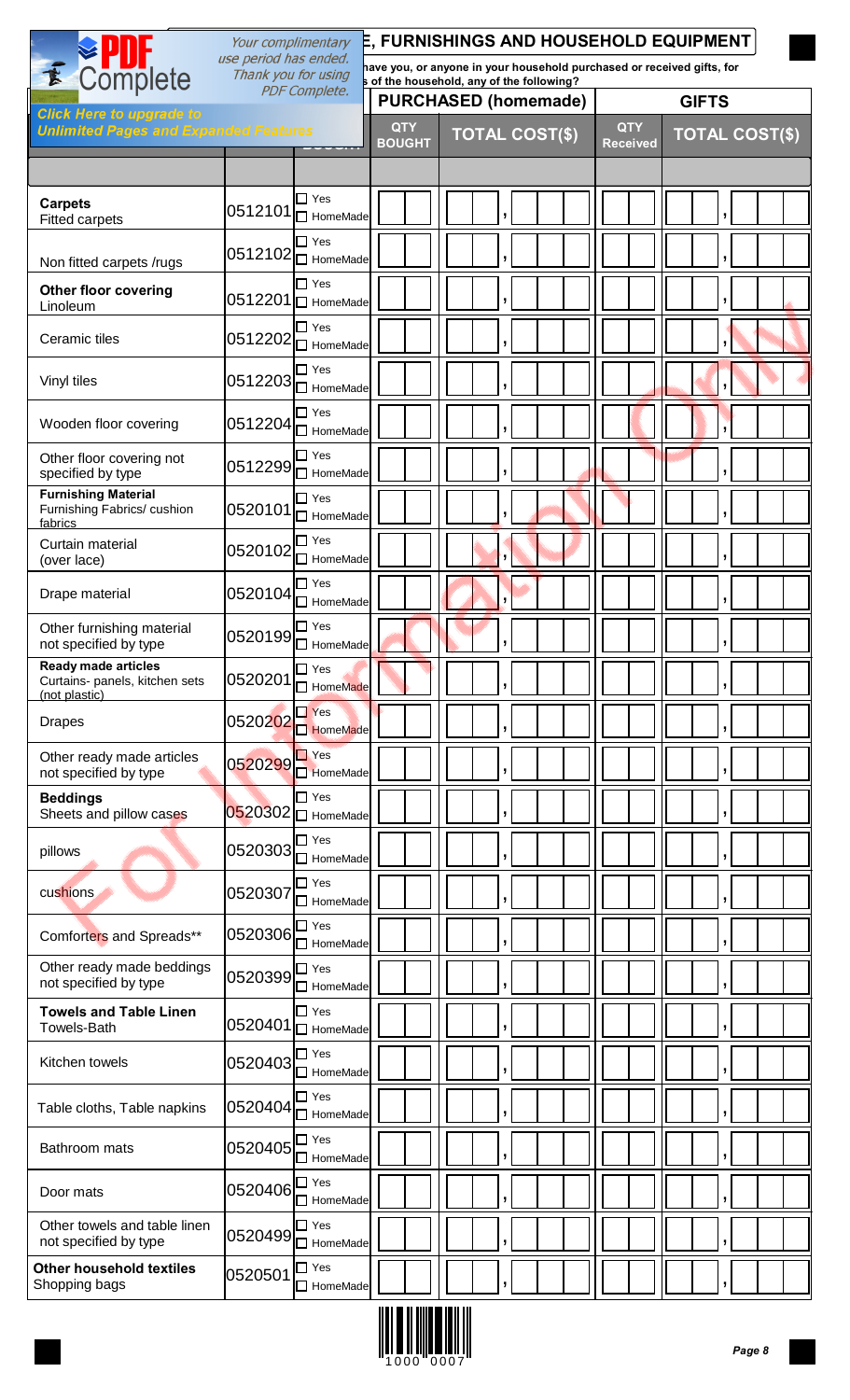|                                                                               | Your complimentary<br>use period has ended. |                                          |                             |                                                                                                                     | E, FURNISHINGS AND HOUSEHOLD EQUIPMENT                 |  |  |  |  |
|-------------------------------------------------------------------------------|---------------------------------------------|------------------------------------------|-----------------------------|---------------------------------------------------------------------------------------------------------------------|--------------------------------------------------------|--|--|--|--|
| E Complete                                                                    | Thank you for using                         |                                          |                             | have you, or anyone in your household purchased or received gifts, for<br>s of the household, any of the following? |                                                        |  |  |  |  |
| <b>Click Here to upgrade to</b>                                               |                                             | <b>PDF Complete.</b>                     |                             | <b>PURCHASED (homemade)</b>                                                                                         | <b>GIFTS</b>                                           |  |  |  |  |
| <b>Unlimited Pages and Expanded Features</b>                                  |                                             |                                          | <b>QTY</b><br><b>BOUGHT</b> | <b>TOTAL COST(\$)</b>                                                                                               | <b>QTY</b><br><b>TOTAL COST(\$)</b><br><b>Received</b> |  |  |  |  |
|                                                                               |                                             |                                          |                             |                                                                                                                     |                                                        |  |  |  |  |
| <b>Carpets</b><br><b>Fitted carpets</b>                                       | 0512101                                     | $\Box$ Yes<br>$\Box$ HomeMade            |                             |                                                                                                                     | J                                                      |  |  |  |  |
| Non fitted carpets /rugs                                                      |                                             | $\Box$ Yes<br>$ 0512102 $ HomeMade       |                             | ,                                                                                                                   | ,                                                      |  |  |  |  |
| <b>Other floor covering</b><br>Linoleum                                       |                                             | $\Box$ Yes<br>$.0512201$ $\Box$ HomeMade |                             | J                                                                                                                   |                                                        |  |  |  |  |
| Ceramic tiles                                                                 | 0512202                                     | $\Box$ Yes<br>HomeMade                   |                             |                                                                                                                     |                                                        |  |  |  |  |
| Vinyl tiles                                                                   | 0512203                                     | $\Box$ Yes<br>$\Box$ HomeMade            |                             | J                                                                                                                   | ÿ                                                      |  |  |  |  |
| Wooden floor covering                                                         |                                             | $\Box$ Yes<br>$10512204$ $\Box$ HomeMade |                             | ,                                                                                                                   |                                                        |  |  |  |  |
| Other floor covering not<br>specified by type                                 | 0512299                                     | $\Box$ Yes<br>□ HomeMade                 |                             |                                                                                                                     |                                                        |  |  |  |  |
| <b>Furnishing Material</b><br>Furnishing Fabrics/ cushion<br>fabrics          | 0520101                                     | $\Box$ Yes<br>$\Box$ HomeMade            |                             |                                                                                                                     | ,                                                      |  |  |  |  |
| Curtain material<br>(over lace)                                               | 0520102                                     | $\Box$ Yes<br>$\Box$ HomeMade            |                             |                                                                                                                     | $\overline{ }$                                         |  |  |  |  |
| Drape material                                                                | 0520104                                     | $\Box$ Yes<br>$\Box$ HomeMade            |                             |                                                                                                                     | $\mathbf{L}$                                           |  |  |  |  |
| Other furnishing material<br>not specified by type                            | 0520199                                     | ∃ Yes<br>□ HomeMade                      |                             |                                                                                                                     |                                                        |  |  |  |  |
| <b>Ready made articles</b><br>Curtains- panels, kitchen sets<br>(not plastic) | 0520201                                     | $\Box$ Yes<br>HomeMade                   |                             |                                                                                                                     |                                                        |  |  |  |  |
| <b>Drapes</b>                                                                 | 0520202                                     | $\Box$ Yes<br>HomeMade                   |                             |                                                                                                                     |                                                        |  |  |  |  |
| Other ready made articles<br>not specified by type                            | 0520299                                     | $\Box$ Yes<br>HomeMade                   |                             |                                                                                                                     |                                                        |  |  |  |  |
| <b>Beddings</b><br>Sheets and pillow cases                                    |                                             | $\Box$ Yes<br>$0520302$ $\Box$ HomeMade  |                             |                                                                                                                     |                                                        |  |  |  |  |
| pillows                                                                       | 0520303                                     | $\Box$ Yes<br>$\Box$ HomeMade            |                             |                                                                                                                     | ,                                                      |  |  |  |  |
| cushions                                                                      | 0520307                                     | $\Box$ Yes<br>$\Box$ HomeMade            |                             |                                                                                                                     | ,                                                      |  |  |  |  |
| Comforters and Spreads**                                                      | 0520306                                     | $\Box$ Yes<br>$\Box$ HomeMade            |                             | $\mathbf{J}$                                                                                                        | ,                                                      |  |  |  |  |
| Other ready made beddings<br>not specified by type                            | 0520399                                     | $\Box$ Yes<br>$\Box$ HomeMade            |                             |                                                                                                                     |                                                        |  |  |  |  |
| <b>Towels and Table Linen</b><br><b>Towels-Bath</b>                           |                                             | $\Box$ Yes<br>0520401   HomeMade         |                             | ŋ                                                                                                                   | ,                                                      |  |  |  |  |
| Kitchen towels                                                                | 0520403                                     | $\Box$ Yes<br>HomeMade                   |                             |                                                                                                                     |                                                        |  |  |  |  |
| Table cloths, Table napkins                                                   | 0520404                                     | $\Box$ Yes<br>□ HomeMade                 |                             |                                                                                                                     |                                                        |  |  |  |  |
| Bathroom mats                                                                 | 0520405                                     | $\Box$ Yes<br>$\Box$ HomeMade            |                             |                                                                                                                     | ,                                                      |  |  |  |  |
| Door mats                                                                     | 0520406                                     | $\Box$ Yes<br>$\Box$ HomeMade            |                             |                                                                                                                     | ÿ                                                      |  |  |  |  |
| Other towels and table linen<br>not specified by type                         | 0520499                                     | $\Box$ Yes<br>$\Box$ HomeMade            |                             | $\mathbf{I}$                                                                                                        | ,                                                      |  |  |  |  |
| <b>Other household textiles</b><br>Shopping bags                              | 0520501 $\vert\Box$ Yes                     | $\Box$ HomeMade                          |                             | $\pmb{\mathsf{y}}$                                                                                                  | $\vert \cdot \vert$                                    |  |  |  |  |

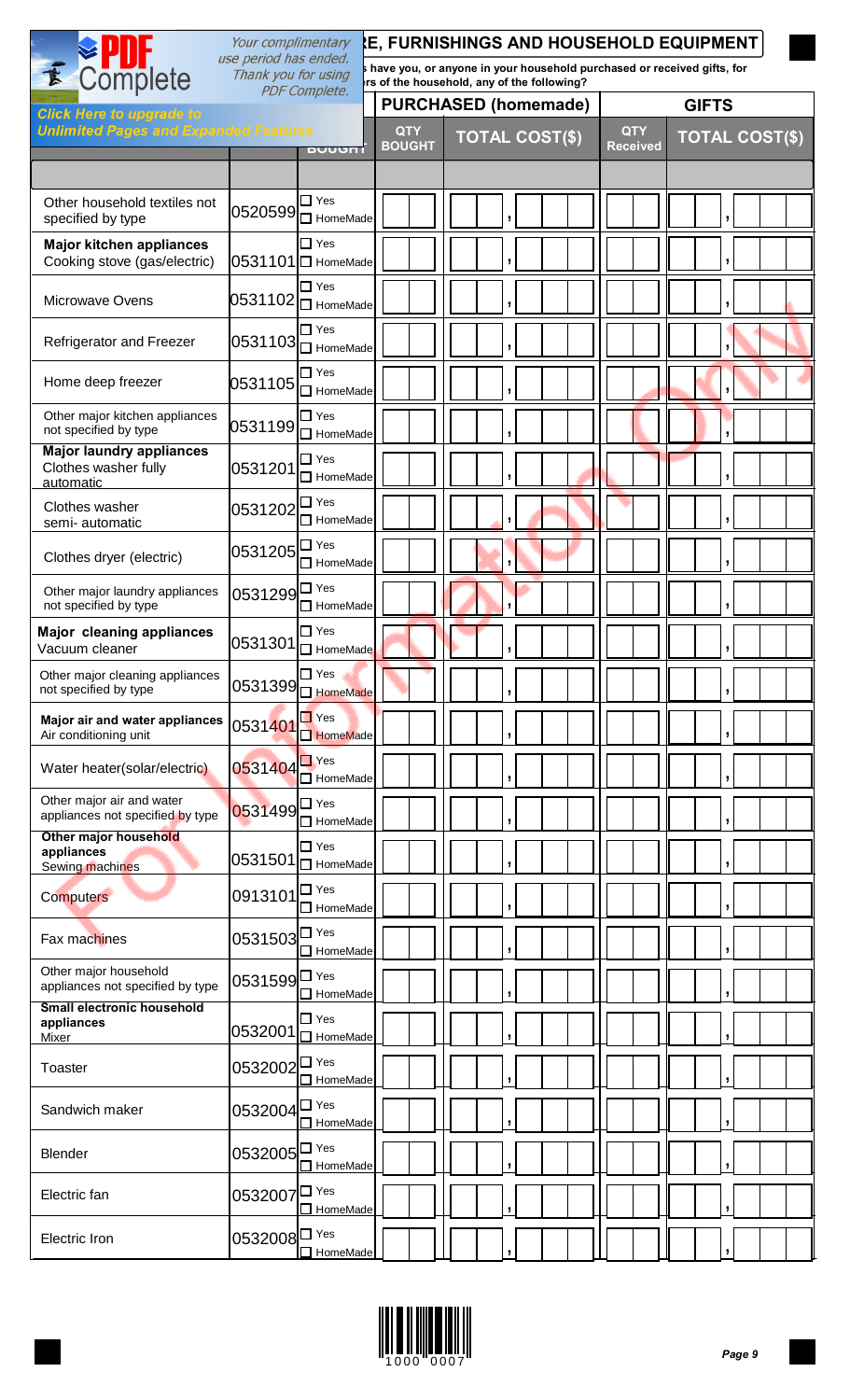|                                                                      | Your complimentary                           |                                                                 |                             | <b>E, FURNISHINGS AND HOUSEHOLD EQUIPMENT</b>                                                                         |                               |                       |
|----------------------------------------------------------------------|----------------------------------------------|-----------------------------------------------------------------|-----------------------------|-----------------------------------------------------------------------------------------------------------------------|-------------------------------|-----------------------|
| E Complete                                                           | use period has ended.<br>Thank you for using | <b>PDF Complete.</b>                                            |                             | have you, or anyone in your household purchased or received gifts, for<br>irs of the household, any of the following? |                               |                       |
| <b>Click Here to upgrade to</b>                                      |                                              |                                                                 |                             | <b>PURCHASED (homemade)</b>                                                                                           |                               | <b>GIFTS</b>          |
| <b>Unlimited Pages and Expanded Features</b>                         |                                              | DUUUNI                                                          | <b>QTY</b><br><b>BOUGHT</b> | <b>TOTAL COST(\$)</b>                                                                                                 | <b>QTY</b><br><b>Received</b> | <b>TOTAL COST(\$)</b> |
|                                                                      |                                              |                                                                 |                             |                                                                                                                       |                               |                       |
| Other household textiles not<br>specified by type                    |                                              | $\Box$ Yes<br>$\left 0520599\right \overline{\Box}$ HomeMade    |                             |                                                                                                                       |                               |                       |
| <b>Major kitchen appliances</b><br>Cooking stove (gas/electric)      |                                              | $\Box$ Yes<br>0531101 □ HomeMade                                |                             |                                                                                                                       |                               | 5                     |
| Microwave Ovens                                                      |                                              | $\Box$ Yes<br>$ 0531102 \overline{\square} $ HomeMade           |                             |                                                                                                                       |                               |                       |
| Refrigerator and Freezer                                             |                                              | $\Box$ Yes<br>$\ket{0531103}$ HomeMade                          |                             |                                                                                                                       |                               |                       |
| Home deep freezer                                                    |                                              | $\Box$ Yes<br>$[0531105]\overline{\overline{\bigcup}}$ HomeMade |                             | ŋ                                                                                                                     |                               |                       |
| Other major kitchen appliances<br>not specified by type              |                                              | $\Box$ Yes                                                      |                             |                                                                                                                       |                               |                       |
| <b>Major laundry appliances</b><br>Clothes washer fully<br>automatic | 0531201                                      | $\Box$ Yes<br>$\Box$ HomeMade                                   |                             |                                                                                                                       |                               |                       |
| Clothes washer<br>semi-automatic                                     | $9531202$ $\Box$ Yes                         | $\Box$ HomeMade                                                 |                             |                                                                                                                       |                               |                       |
| Clothes dryer (electric)                                             | $0531205$ $\Box$ Yes                         | $\Box$ HomeMade                                                 |                             |                                                                                                                       |                               |                       |
| Other major laundry appliances<br>not specified by type              | 0531299 <sup><sup>1</sup></sup>              | HomeMade                                                        |                             |                                                                                                                       |                               |                       |
| <b>Major cleaning appliances</b><br>Vacuum cleaner                   |                                              | $\Box$ Yes<br>$0531301\Box$ HomeMade                            |                             |                                                                                                                       |                               |                       |
| Other major cleaning appliances<br>not specified by type             |                                              | $\Box$ Yes<br>0531399 $\square$ HomeMade                        |                             |                                                                                                                       |                               |                       |
| Major air and water appliances<br>Air conditioning unit              | 0531401                                      | $\Box$ Yes<br>HomeMade                                          |                             |                                                                                                                       |                               |                       |
| Water heater(solar/electric)                                         | 0531404                                      | $\Box$ Yes<br>$\Box$ HomeMade                                   |                             |                                                                                                                       |                               |                       |
| Other major air and water<br>appliances not specified by type        | $\overline{0}$ 531499 $\overline{\Box}$ Yes  | $\Box$ HomeMade                                                 |                             |                                                                                                                       |                               |                       |
| Other major household<br>appliances<br>Sewing machines               |                                              | $\Box$ Yes<br>$0531501$ HomeMade                                |                             |                                                                                                                       |                               |                       |
| Computers                                                            | 0913101 <sup>0</sup>                         | $\Box$ HomeMade                                                 |                             |                                                                                                                       |                               |                       |
| Fax machines                                                         | $9531503^{\square \text{ Yes}}$              | $\Box$ HomeMade                                                 |                             |                                                                                                                       |                               |                       |
| Other major household<br>appliances not specified by type            | 0531599 <sup><sup>1</sup></sup>              | $\Box$ HomeMade                                                 |                             |                                                                                                                       |                               |                       |
| <b>Small electronic household</b><br>appliances<br>Mixer             | 0532001                                      | $\Box$ Yes<br>$\Box$ HomeMade                                   |                             |                                                                                                                       |                               |                       |
| Toaster                                                              | 0532002 <sup>D Yes</sup>                     | $\Box$ HomeMade                                                 |                             |                                                                                                                       |                               |                       |
| Sandwich maker                                                       | 0532004 <sup>D Yes</sup>                     | $\Box$ HomeMade                                                 |                             |                                                                                                                       |                               |                       |
| <b>Blender</b>                                                       | 0532005 <sup>D Yes</sup>                     | $\Box$ HomeMade                                                 |                             |                                                                                                                       |                               |                       |
| Electric fan                                                         | 0532007 <sup>0</sup> Yes                     | $\Box$ HomeMade                                                 |                             |                                                                                                                       |                               |                       |
| Electric Iron                                                        | 0532008 <sup>D Yes</sup>                     | $\Box$ HomeMade                                                 |                             |                                                                                                                       |                               |                       |

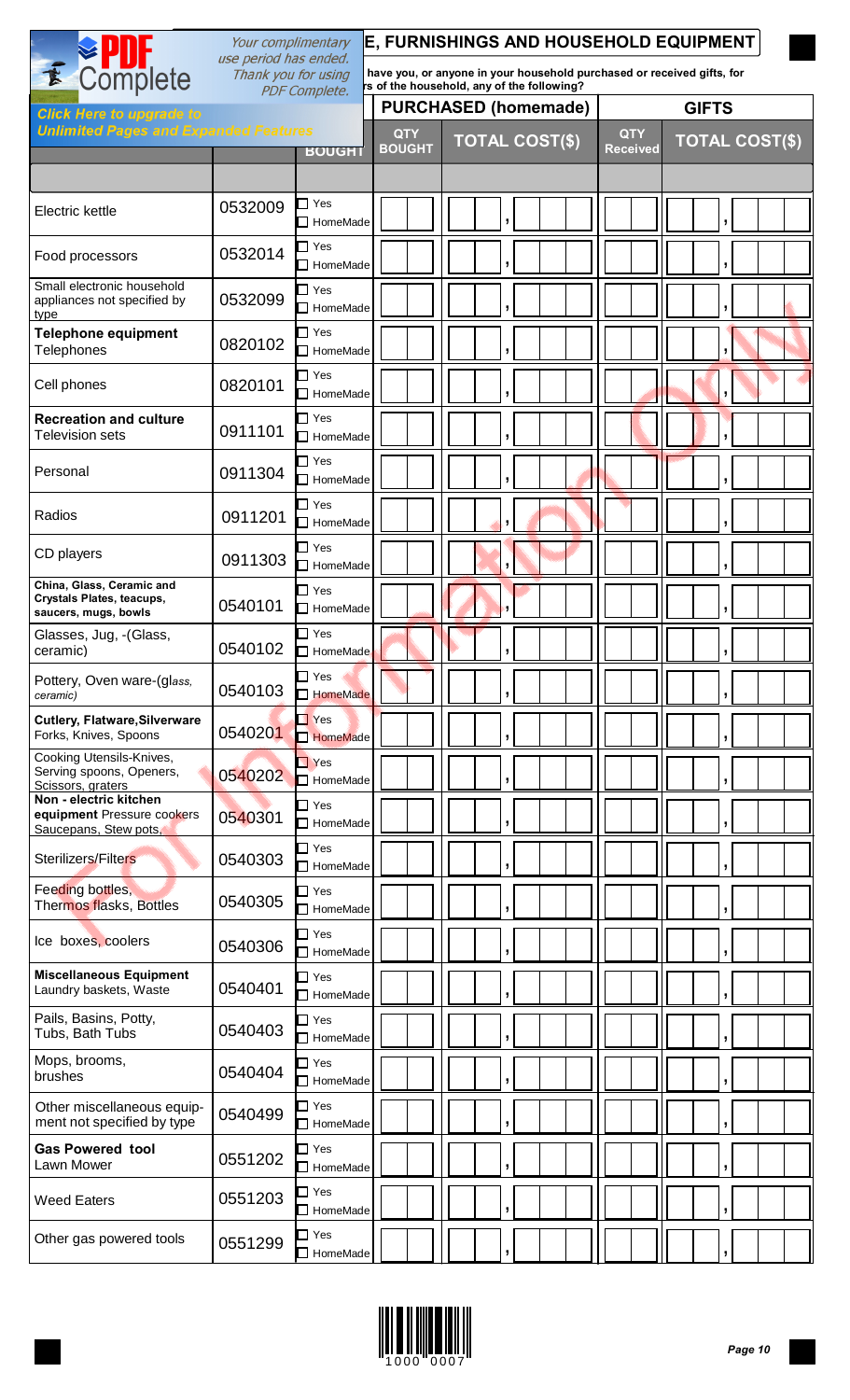|                                                                                           | E, FURNISHINGS AND HOUSEHOLD EQUIPMENT<br>Your complimentary<br>use period has ended. |                                       |                             |                                                                                                                      |                               |                       |
|-------------------------------------------------------------------------------------------|---------------------------------------------------------------------------------------|---------------------------------------|-----------------------------|----------------------------------------------------------------------------------------------------------------------|-------------------------------|-----------------------|
| E Complete                                                                                | Thank you for using                                                                   | <b>PDF Complete.</b>                  |                             | have you, or anyone in your household purchased or received gifts, for<br>rs of the household, any of the following? |                               |                       |
| <b>Click Here to upgrade to</b>                                                           |                                                                                       |                                       |                             | <b>PURCHASED (homemade)</b>                                                                                          |                               | <b>GIFTS</b>          |
| <b>Unlimited Pages and Expanded Features</b>                                              |                                                                                       | <b>BOUGHT</b>                         | <b>QTY</b><br><b>BOUGHT</b> | <b>TOTAL COST(\$)</b>                                                                                                | <b>QTY</b><br><b>Received</b> | <b>TOTAL COST(\$)</b> |
| Electric kettle                                                                           | 0532009                                                                               | ヿ Yes<br>$\Box$ HomeMade              |                             | J.                                                                                                                   |                               | ŋ                     |
| Food processors                                                                           | 0532014                                                                               | $\Box$ Yes<br>$\Box$ HomeMade         |                             |                                                                                                                      |                               | ÿ                     |
| Small electronic household<br>appliances not specified by<br>type                         | 0532099                                                                               | $\Box$ Yes<br>$\Box$ HomeMade         |                             | ,                                                                                                                    |                               | ,                     |
| <b>Telephone equipment</b><br><b>Telephones</b>                                           | 0820102                                                                               | $\Box$ Yes<br>$\Box$ HomeMade         |                             | ,                                                                                                                    |                               |                       |
| Cell phones                                                                               | 0820101                                                                               | $\Box$ Yes<br>$\Box$ HomeMade         |                             | ,                                                                                                                    |                               |                       |
| <b>Recreation and culture</b><br><b>Television sets</b>                                   | 0911101                                                                               | $\Box$ Yes<br>$\Box$ HomeMade         |                             | $\overline{1}$                                                                                                       |                               | J.                    |
| Personal                                                                                  | 0911304                                                                               | □ Yes<br>$\Box$ HomeMade              |                             | $\overline{1}$                                                                                                       |                               |                       |
| Radios                                                                                    | 0911201                                                                               | $\Box$ Yes<br>$\Box$ HomeMade         |                             |                                                                                                                      |                               |                       |
| CD players                                                                                | 0911303                                                                               | $\Box$ Yes<br>$\Box$ HomeMade         |                             |                                                                                                                      |                               | ŋ                     |
| China, Glass, Ceramic and<br><b>Crystals Plates, teacups,</b><br>saucers, mugs, bowls     | 0540101                                                                               | $\Box$ Yes<br>$\sqcap$ HomeMade       |                             |                                                                                                                      |                               |                       |
| Glasses, Jug, - (Glass,<br>ceramic)                                                       | 0540102                                                                               | $\Box$ Yes<br>HomeMade                |                             | $\mathbf{L}$                                                                                                         |                               |                       |
| Pottery, Oven ware-(glass,<br>ceramic)                                                    | 0540103                                                                               | ∃ Yes<br>$\Box$ HomeMade              |                             | J                                                                                                                    |                               | J                     |
| <b>Cutlery, Flatware, Silverware</b><br>Forks, Knives, Spoons<br>Cooking Utensils-Knives, | 0540201                                                                               | $\blacksquare$ Yes<br>$\Box$ HomeMade |                             | ÿ                                                                                                                    |                               |                       |
| Serving spoons, Openers,<br>Scissors, graters<br>Non - electric kitchen                   | 0540202                                                                               | $\Box$ Yes<br>$\Box$ HomeMade         |                             | J                                                                                                                    |                               |                       |
| equipment Pressure cookers<br>Saucepans, Stew pots,                                       | 0540301                                                                               | $\sqcap$ Yes<br>$\Box$ HomeMade       |                             |                                                                                                                      |                               | ,                     |
| Sterilizers/Filters<br>Feeding bottles,                                                   | 0540303                                                                               | $\sqcap$ Yes<br>$\Box$ HomeMade       |                             |                                                                                                                      |                               |                       |
| Thermos flasks, Bottles                                                                   | 0540305                                                                               | □ Yes<br>HomeMade                     |                             |                                                                                                                      |                               |                       |
| Ice boxes, coolers<br><b>Miscellaneous Equipment</b>                                      | 0540306                                                                               | $\Box$ Yes<br>□ HomeMade              |                             |                                                                                                                      |                               |                       |
| Laundry baskets, Waste                                                                    | 0540401                                                                               | $\Box$ Yes<br>$\Box$ HomeMade         |                             | ÿ                                                                                                                    |                               |                       |
| Pails, Basins, Potty,<br>Tubs, Bath Tubs                                                  | 0540403                                                                               | ∃ Yes<br>□ HomeMade                   |                             |                                                                                                                      |                               |                       |
| Mops, brooms,<br>brushes                                                                  | 0540404                                                                               | $\Box$ Yes<br>$\Box$ HomeMade         |                             |                                                                                                                      |                               |                       |
| Other miscellaneous equip-<br>ment not specified by type                                  | 0540499                                                                               | $\Box$ Yes<br>□ HomeMade              |                             |                                                                                                                      |                               |                       |
| <b>Gas Powered tool</b><br>Lawn Mower                                                     | 0551202                                                                               | $\sqcap$ Yes<br>HomeMade              |                             |                                                                                                                      |                               |                       |
| <b>Weed Eaters</b>                                                                        | 0551203                                                                               | ∃ Yes<br>$\Box$ HomeMade              |                             |                                                                                                                      |                               |                       |
| Other gas powered tools                                                                   | 0551299                                                                               | ∃ Yes<br>HomeMade                     |                             |                                                                                                                      |                               |                       |

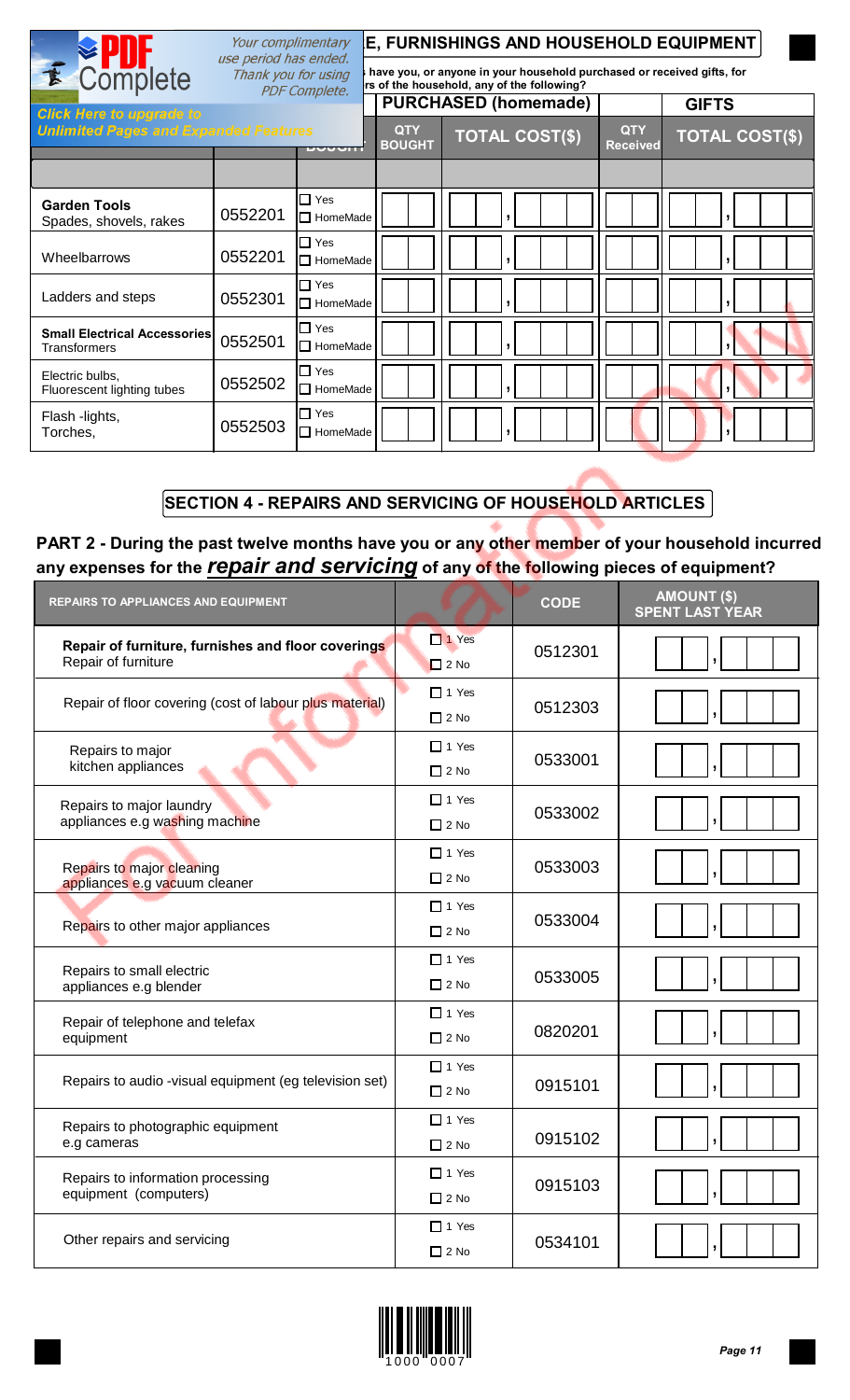|                                                     | Your complimentary<br>use period has ended. |                                       |                                                                                                                      | <b>E, FURNISHINGS AND HOUSEHOLD EQUIPMENT</b> |                               |                       |  |  |  |  |
|-----------------------------------------------------|---------------------------------------------|---------------------------------------|----------------------------------------------------------------------------------------------------------------------|-----------------------------------------------|-------------------------------|-----------------------|--|--|--|--|
| E Complete                                          | Thank you for using                         | <b>PDF Complete.</b>                  | have you, or anyone in your household purchased or received gifts, for<br>rs of the household, any of the following? |                                               |                               |                       |  |  |  |  |
| <b>Click Here to upgrade to</b>                     |                                             |                                       |                                                                                                                      | <b>PURCHASED (homemade)</b>                   |                               | <b>GIFTS</b>          |  |  |  |  |
| <b>Unlimited Pages and Expanded Features</b>        |                                             | <b>DUUUNI</b>                         | <b>QTY</b><br><b>BOUGHT</b>                                                                                          | <b>TOTAL COST(\$)</b>                         | <b>QTY</b><br><b>Received</b> | <b>TOTAL COST(\$)</b> |  |  |  |  |
|                                                     |                                             |                                       |                                                                                                                      |                                               |                               |                       |  |  |  |  |
| <b>Garden Tools</b><br>Spades, shovels, rakes       | 0552201                                     | $\Box$ Yes<br>I□ HomeMade             |                                                                                                                      |                                               |                               |                       |  |  |  |  |
| Wheelbarrows                                        | 0552201                                     | $\blacksquare$ Yes<br>$\Box$ HomeMade |                                                                                                                      | $\overline{\phantom{a}}$                      |                               |                       |  |  |  |  |
| Ladders and steps                                   | 0552301                                     | $\Box$ Yes<br>I□ HomeMade             |                                                                                                                      |                                               |                               |                       |  |  |  |  |
| <b>Small Electrical Accessories</b><br>Transformers | 0552501                                     | $\blacksquare$ Yes<br>$\Box$ HomeMade |                                                                                                                      |                                               |                               |                       |  |  |  |  |
| Electric bulbs,<br>Fluorescent lighting tubes       | 0552502                                     | $\Box$ Yes<br>$\Box$ HomeMade         |                                                                                                                      |                                               |                               |                       |  |  |  |  |
| Flash -lights,<br>Torches,                          | 0552503                                     | $\Box$ Yes<br>$\Box$ HomeMade         |                                                                                                                      |                                               |                               |                       |  |  |  |  |

# **SECTION 4 - REPAIRS AND SERVICING OF HOUSEHOLD ARTICLES**

# **PART 2 - During the past twelve months have you or any other member of your household incurred any expenses for the** *repair and servicing* **of any of the following pieces of equipment?**

| <b>REPAIRS TO APPLIANCES AND EQUIPMENT</b>                                |                             | <b>CODE</b> | <b>AMOUNT (\$)</b><br><b>SPENT LAST YEAR</b> |
|---------------------------------------------------------------------------|-----------------------------|-------------|----------------------------------------------|
| Repair of furniture, furnishes and floor coverings<br>Repair of furniture | $\Box$ 1 Yes<br>$\Box$ 2 No | 0512301     |                                              |
| Repair of floor covering (cost of labour plus material)                   | $\Box$ 1 Yes<br>$\Box$ 2 No | 0512303     |                                              |
| Repairs to major<br>kitchen appliances                                    | $\Box$ 1 Yes<br>$\Box$ 2 No | 0533001     |                                              |
| Repairs to major laundry<br>appliances e.g washing machine                | $\Box$ 1 Yes<br>$\Box$ 2 No | 0533002     |                                              |
| Repairs to major cleaning<br>appliances e.g vacuum cleaner                | $\Box$ 1 Yes<br>$\Box$ 2 No | 0533003     |                                              |
| Repairs to other major appliances                                         | $\Box$ 1 Yes<br>$\Box$ 2 No | 0533004     |                                              |
| Repairs to small electric<br>appliances e.g blender                       | $\Box$ 1 Yes<br>$\Box$ 2 No | 0533005     |                                              |
| Repair of telephone and telefax<br>equipment                              | $\Box$ 1 Yes<br>$\Box$ 2 No | 0820201     |                                              |
| Repairs to audio -visual equipment (eg television set)                    | $\Box$ 1 Yes<br>$\Box$ 2 No | 0915101     |                                              |
| Repairs to photographic equipment<br>e.g cameras                          | $\Box$ 1 Yes<br>$\Box$ 2 No | 0915102     |                                              |
| Repairs to information processing<br>equipment (computers)                | $\Box$ 1 Yes<br>$\Box$ 2 No | 0915103     |                                              |
| Other repairs and servicing                                               | $\Box$ 1 Yes<br>$\Box$ 2 No | 0534101     |                                              |

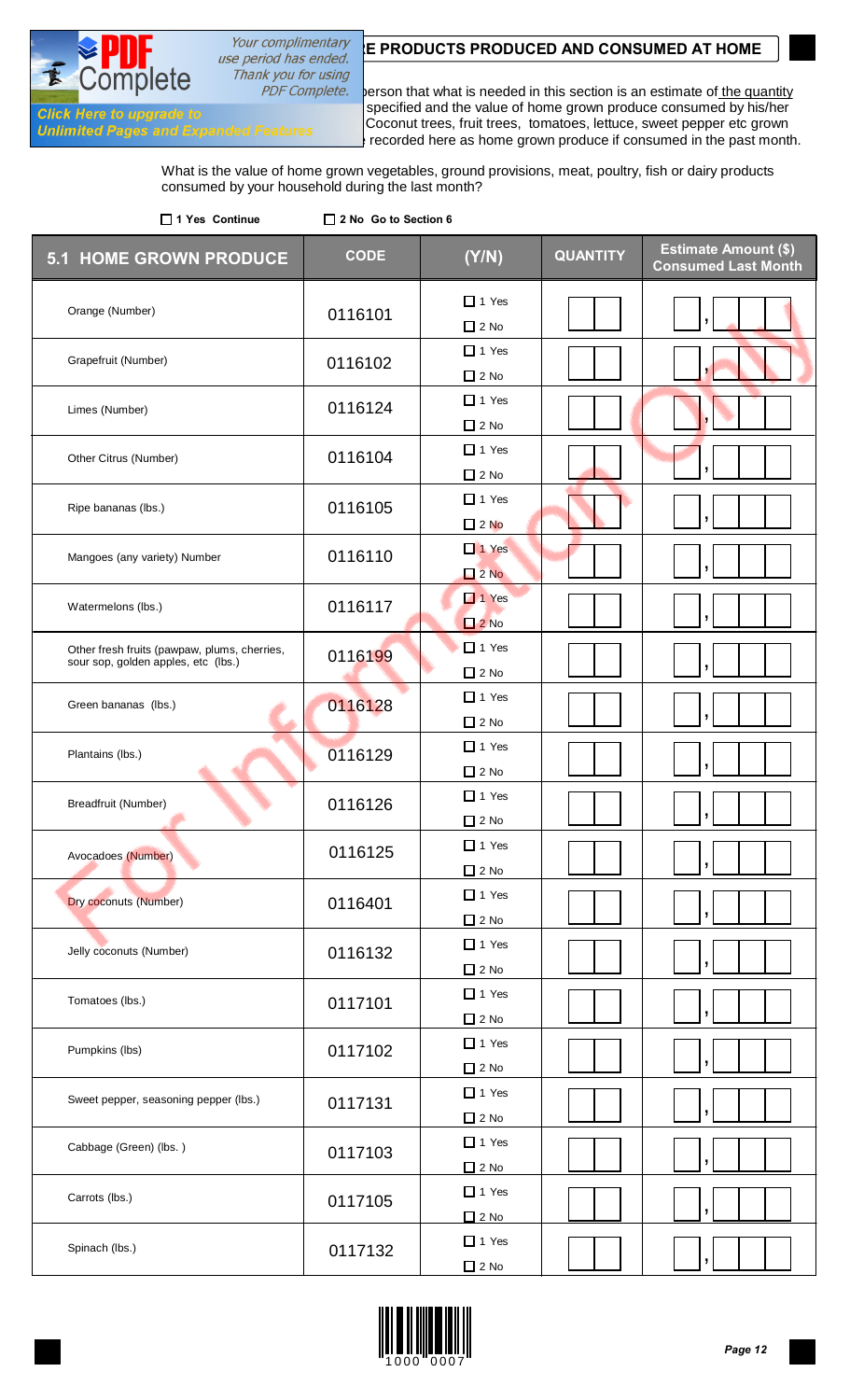# Your complimentary **E PRODUCTS PRODUCED AND CONSUMED AT HOME** use period has ended.

Thank you for using

 $n<sub>1</sub>$ 

INTERVIEWER: Advise the household reference person that what is needed in this section is an estimate of the quantity **Click Here to upgrade to**<br>Consult trees fruit trees temptoes lettuce sweet perper ats grown **Cold LAST MONTH CONTEXT** Coconut trees, fruit trees, tomatoes, lettuce, sweet pepper etc grown<br>Unlimited Pages and Expanded Features<br>In recorded here as home grown produce if consumed in the past monti in the backyard backgard be recorded here as home grown produce if consumed in the past month.

> What is the value of home grown vegetables, ground provisions, meat, poultry, fish or dairy products consumed by your household during the last month?

| □ 1 Yes Continue                                                                    | □ 2 No Go to Section 6 |                                 |                 |                                                           |
|-------------------------------------------------------------------------------------|------------------------|---------------------------------|-----------------|-----------------------------------------------------------|
| <b>5.1 HOME GROWN PRODUCE</b>                                                       | <b>CODE</b>            | (Y/N)                           | <b>QUANTITY</b> | <b>Estimate Amount (\$)</b><br><b>Consumed Last Month</b> |
| Orange (Number)                                                                     | 0116101                | $\Box$ 1 Yes<br>$\Box$ 2 No     |                 |                                                           |
| Grapefruit (Number)                                                                 | 0116102                | $\Box$ 1 Yes<br>$\Box$ 2 No     |                 |                                                           |
| Limes (Number)                                                                      | 0116124                | $\Box$ 1 Yes<br>$\Box$ 2 No     |                 |                                                           |
| Other Citrus (Number)                                                               | 0116104                | $\Box$ 1 Yes<br>$\Box$ 2 No     |                 |                                                           |
| Ripe bananas (lbs.)                                                                 | 0116105                | $\Box$ 1 Yes<br>$\square$ 2 No  |                 |                                                           |
| Mangoes (any variety) Number                                                        | 0116110                | $\Box$ 1 Yes<br>2N <sub>o</sub> |                 |                                                           |
| Watermelons (lbs.)                                                                  | 0116117                | $\Box$ 1 Yes<br>$2$ No          |                 |                                                           |
| Other fresh fruits (pawpaw, plums, cherries,<br>sour sop, golden apples, etc (lbs.) | 0116199                | $\Box$ 1 Yes<br>$\Box$ 2 No     |                 |                                                           |
| Green bananas (lbs.)                                                                | 0116128                | $\Box$ 1 Yes<br>$\Box$ 2 No     |                 |                                                           |
| Plantains (lbs.)                                                                    | 0116129                | $\Box$ 1 Yes<br>$\Box$ 2 No     |                 |                                                           |
| Breadfruit (Number)                                                                 | 0116126                | $\Box$ 1 Yes<br>$\Box$ 2 No     |                 |                                                           |
| Avocadoes (Number)                                                                  | 0116125                | $\Box$ 1 Yes<br>$\Box$ 2 No     |                 |                                                           |
| <b>Dry coconuts (Number)</b>                                                        | 0116401                | $\Box$ 1 Yes<br>$\Box$ 2 No     |                 | ŋ                                                         |
| Jelly coconuts (Number)                                                             | 0116132                | $\Box$ 1 Yes<br>$\Box$ 2 No     |                 |                                                           |
| Tomatoes (lbs.)                                                                     | 0117101                | $\Box$ 1 Yes<br>$\Box$ 2 No     |                 |                                                           |
| Pumpkins (lbs)                                                                      | 0117102                | $\Box$ 1 Yes<br>$\Box$ 2 No     |                 |                                                           |
| Sweet pepper, seasoning pepper (lbs.)                                               | 0117131                | $\Box$ 1 Yes<br>$\Box$ 2 No     |                 |                                                           |
| Cabbage (Green) (lbs.)                                                              | 0117103                | $\Box$ 1 Yes<br>$\Box$ 2 No     |                 |                                                           |
| Carrots (lbs.)                                                                      | 0117105                | $\Box$ 1 Yes<br>$\Box$ 2 No     |                 |                                                           |
| Spinach (lbs.)                                                                      | 0117132                | $\Box$ 1 Yes<br>$\square$ 2 No  |                 |                                                           |

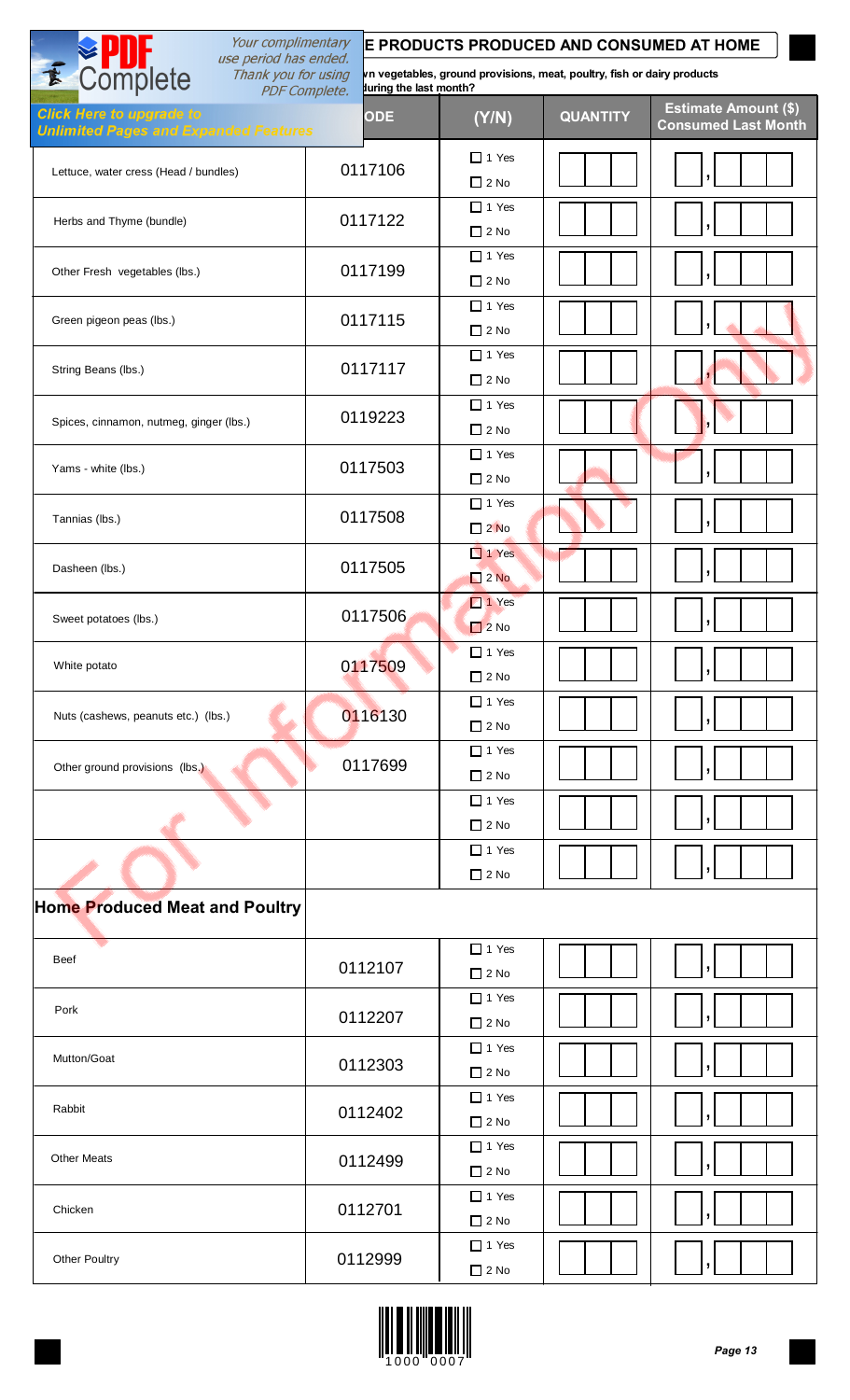| Your complimentary<br>use period has ended.                                     |                                                | E PRODUCTS PRODUCED AND CONSUMED AT HOME                                |                 |                                                           |
|---------------------------------------------------------------------------------|------------------------------------------------|-------------------------------------------------------------------------|-----------------|-----------------------------------------------------------|
| E Complete<br>Thank you for using                                               | luring the last month?<br><b>PDF Complete.</b> | vn vegetables, ground provisions, meat, poultry, fish or dairy products |                 |                                                           |
| <b>Click Here to upgrade to</b><br><b>Unlimited Pages and Expanded Features</b> | <b>ODE</b>                                     | (Y/N)                                                                   | <b>QUANTITY</b> | <b>Estimate Amount (\$)</b><br><b>Consumed Last Month</b> |
| Lettuce, water cress (Head / bundles)                                           | 0117106                                        | $\Box$ 1 Yes<br>$\Box$ 2 No                                             |                 |                                                           |
| Herbs and Thyme (bundle)                                                        | 0117122                                        | $\Box$ 1 Yes<br>$\Box$ 2 No                                             |                 |                                                           |
| Other Fresh vegetables (lbs.)                                                   | 0117199                                        | $\Box$ 1 Yes<br>$\Box$ 2 No                                             |                 |                                                           |
| Green pigeon peas (lbs.)                                                        | 0117115                                        | $\Box$ 1 Yes<br>$\Box$ 2 No                                             |                 |                                                           |
| String Beans (lbs.)                                                             | 0117117                                        | $\Box$ 1 Yes<br>$\Box$ 2 No                                             |                 |                                                           |
| Spices, cinnamon, nutmeg, ginger (lbs.)                                         | 0119223                                        | $\Box$ 1 Yes<br>$\Box$ 2 No                                             |                 |                                                           |
| Yams - white (lbs.)                                                             | 0117503                                        | $\Box$ 1 Yes<br>$\Box$ 2 No                                             |                 |                                                           |
| Tannias (lbs.)                                                                  | 0117508                                        | $\Box$ 1 Yes<br>$\Box$ 2 No                                             |                 |                                                           |
| Dasheen (lbs.)                                                                  | 0117505                                        | $\Box$ 1 Yes<br>2N                                                      |                 |                                                           |
| Sweet potatoes (lbs.)                                                           | 0117506                                        | $\Box$ 1 Yes<br>2N <sub>o</sub>                                         |                 |                                                           |
| White potato                                                                    | 0117509                                        | $\Box$ 1 Yes<br>$\Box$ 2 No                                             |                 |                                                           |
| Nuts (cashews, peanuts etc.) (lbs.)                                             | 0116130                                        | $\Box$ 1 Yes<br>$\Box$ 2 No                                             |                 |                                                           |
| Other ground provisions (lbs.)                                                  | 0117699                                        | $\Box$ 1 Yes<br>$\Box$ 2 No                                             |                 |                                                           |
|                                                                                 |                                                | $\Box$ 1 Yes<br>$\Box$ 2 No                                             |                 |                                                           |
|                                                                                 |                                                | $\Box$ 1 Yes<br>$\Box$ 2 No                                             |                 |                                                           |
| <b>Home Produced Meat and Poultry</b>                                           |                                                |                                                                         |                 |                                                           |
| Beef                                                                            | 0112107                                        | $\Box$ 1 Yes<br>$\Box$ 2 No                                             |                 |                                                           |
| Pork                                                                            | 0112207                                        | $\Box$ 1 Yes<br>$\Box$ 2 No                                             |                 |                                                           |
| Mutton/Goat                                                                     | 0112303                                        | $\Box$ 1 Yes<br>$\Box$ 2 No                                             |                 |                                                           |
| Rabbit                                                                          | 0112402                                        | $\Box$ 1 Yes<br>$\Box$ 2 No                                             |                 |                                                           |
| <b>Other Meats</b>                                                              | 0112499                                        | $\Box$ 1 Yes<br>$\Box$ 2 No                                             |                 |                                                           |
| Chicken                                                                         | 0112701                                        | $\Box$ 1 Yes<br>$\Box$ 2 No                                             |                 |                                                           |
| <b>Other Poultry</b>                                                            | 0112999                                        | $\Box$ 1 Yes<br>$\square$ 2 No                                          |                 |                                                           |

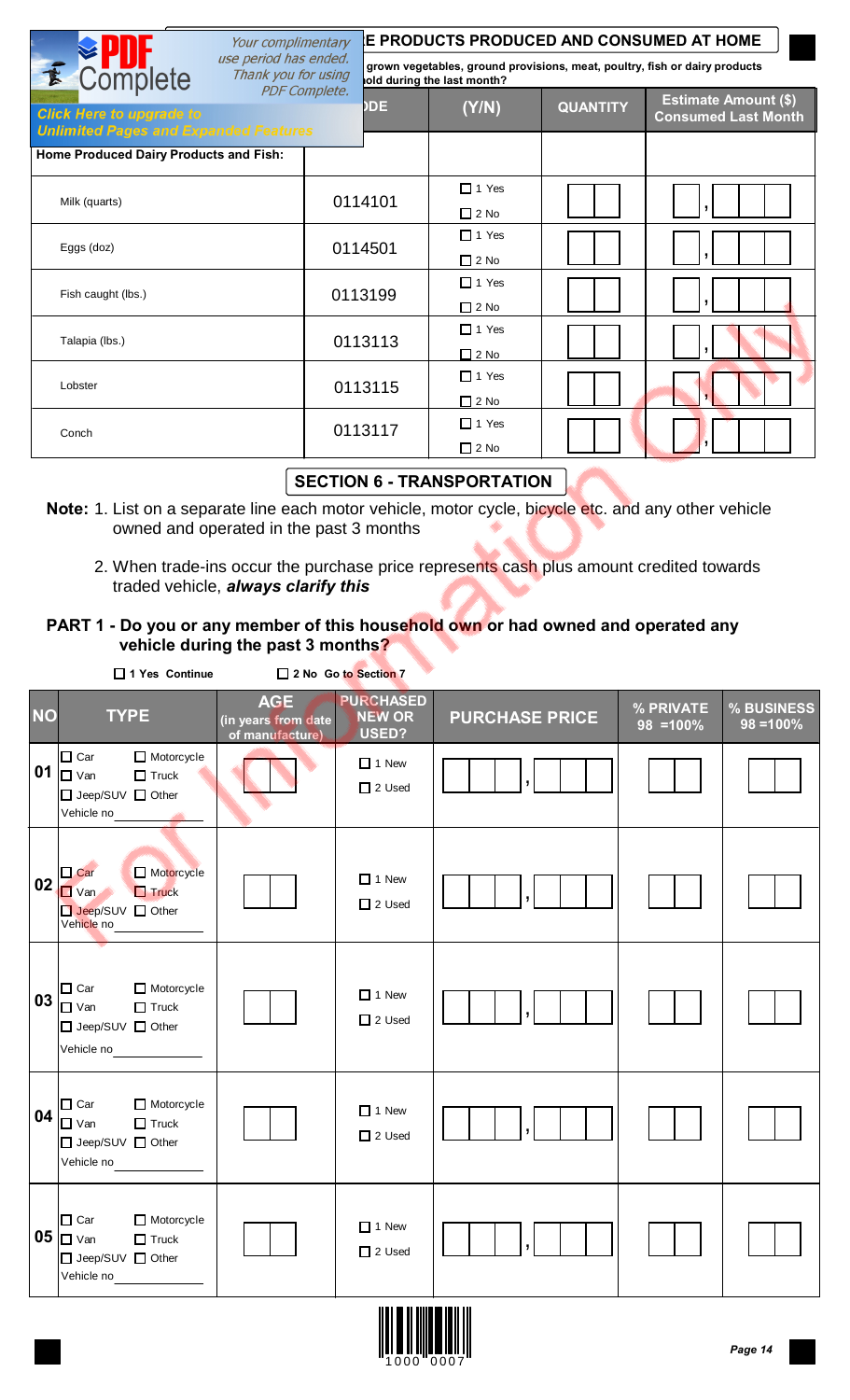| Your complimentary                                                              |                      | <b>E PRODUCTS PRODUCED AND CONSUMED AT HOME</b> |                             |                 |                                                                            |  |  |  |  |
|---------------------------------------------------------------------------------|----------------------|-------------------------------------------------|-----------------------------|-----------------|----------------------------------------------------------------------------|--|--|--|--|
| use period has ended.<br><b><u>■</u></b> Complete<br>Thank you for using        |                      |                                                 | old during the last month?  |                 | grown vegetables, ground provisions, meat, poultry, fish or dairy products |  |  |  |  |
| <b>Click Here to upgrade to</b><br><b>Unlimited Pages and Expanded Features</b> | <b>PDF Complete.</b> | <b>DDE</b>                                      | (Y/N)                       | <b>QUANTITY</b> | <b>Estimate Amount (\$)</b><br><b>Consumed Last Month</b>                  |  |  |  |  |
| Home Produced Dairy Products and Fish:                                          |                      |                                                 |                             |                 |                                                                            |  |  |  |  |
| Milk (quarts)                                                                   |                      | 0114101                                         | $\Box$ 1 Yes<br>$\Box$ 2 No |                 |                                                                            |  |  |  |  |
| Eggs (doz)                                                                      |                      | 0114501                                         | $\Box$ 1 Yes<br>$\Box$ 2 No |                 |                                                                            |  |  |  |  |
| Fish caught (lbs.)                                                              |                      | 0113199                                         | $\Box$ 1 Yes<br>$\Box$ 2 No |                 |                                                                            |  |  |  |  |
| Talapia (lbs.)                                                                  |                      | 0113113                                         | $\Box$ 1 Yes<br>$\Box$ 2 No |                 |                                                                            |  |  |  |  |
| Lobster                                                                         |                      | 0113115                                         | $\Box$ 1 Yes<br>$\Box$ 2 No |                 |                                                                            |  |  |  |  |
| Conch                                                                           |                      | 0113117                                         | $\Box$ 1 Yes<br>$\Box$ 2 No |                 |                                                                            |  |  |  |  |

## **SECTION 6 - TRANSPORTATION**

- **Note:** 1. List on a separate line each motor vehicle, motor cycle, bicycle etc. and any other vehicle owned and operated in the past 3 months
	- 2. When trade-ins occur the purchase price represents cash plus amount credited towards traded vehicle, *always clarify this*

## **PART 1 - Do you or any member of this household own or had owned and operated any vehicle during the past 3 months?**

|           | □ 1 Yes Continue                                                                                    |                                                      | 2 No Go to Section 7                       |                       |                           |                           |
|-----------|-----------------------------------------------------------------------------------------------------|------------------------------------------------------|--------------------------------------------|-----------------------|---------------------------|---------------------------|
| <b>NO</b> | <b>TYPE</b>                                                                                         | <b>AGE</b><br>(in years from date<br>of manufacture) | <b>PURCHASED</b><br><b>NEW OR</b><br>USED? | <b>PURCHASE PRICE</b> | % PRIVATE<br>$98 = 100\%$ | % BUSINESS<br>$98 = 100%$ |
|           | Motorcycle<br>$\Box$ Car<br>01 $\Box$ $\lor$ an<br>$\Box$ Truck<br>□ Jeep/SUV □ Other<br>Vehicle no |                                                      | $\Box$ 1 New<br>$\Box$ 2 Used              |                       |                           |                           |
| 02        | Motorcycle<br>$\Box$ Car<br>$\Box$ Van<br>$\Box$ Truck<br>□ Jeep/SUV □ Other<br>Vehicle no          |                                                      | $\Box$ 1 New<br>$\Box$ 2 Used              |                       |                           |                           |
| 03        | $\Box$ Car<br>Motorcycle<br>$\Box$ Van<br>$\Box$ Truck<br>□ Jeep/SUV □ Other<br>Vehicle no          |                                                      | $\Box$ 1 New<br>$\Box$ 2 Used              |                       |                           |                           |
| 04        | Motorcycle<br>$\Box$ Car<br>$\Box$ Van<br>$\Box$ Truck<br>□ Jeep/SUV □ Other<br>Vehicle no          |                                                      | $\Box$ 1 New<br>$\Box$ 2 Used              |                       |                           |                           |
|           | $\Box$ Car<br>Motorcycle<br>05 $\Box$ $\vee$ an<br>$\Box$ Truck<br>□ Jeep/SUV □ Other<br>Vehicle no |                                                      | $\Box$ 1 New<br>$\Box$ 2 Used              |                       |                           |                           |

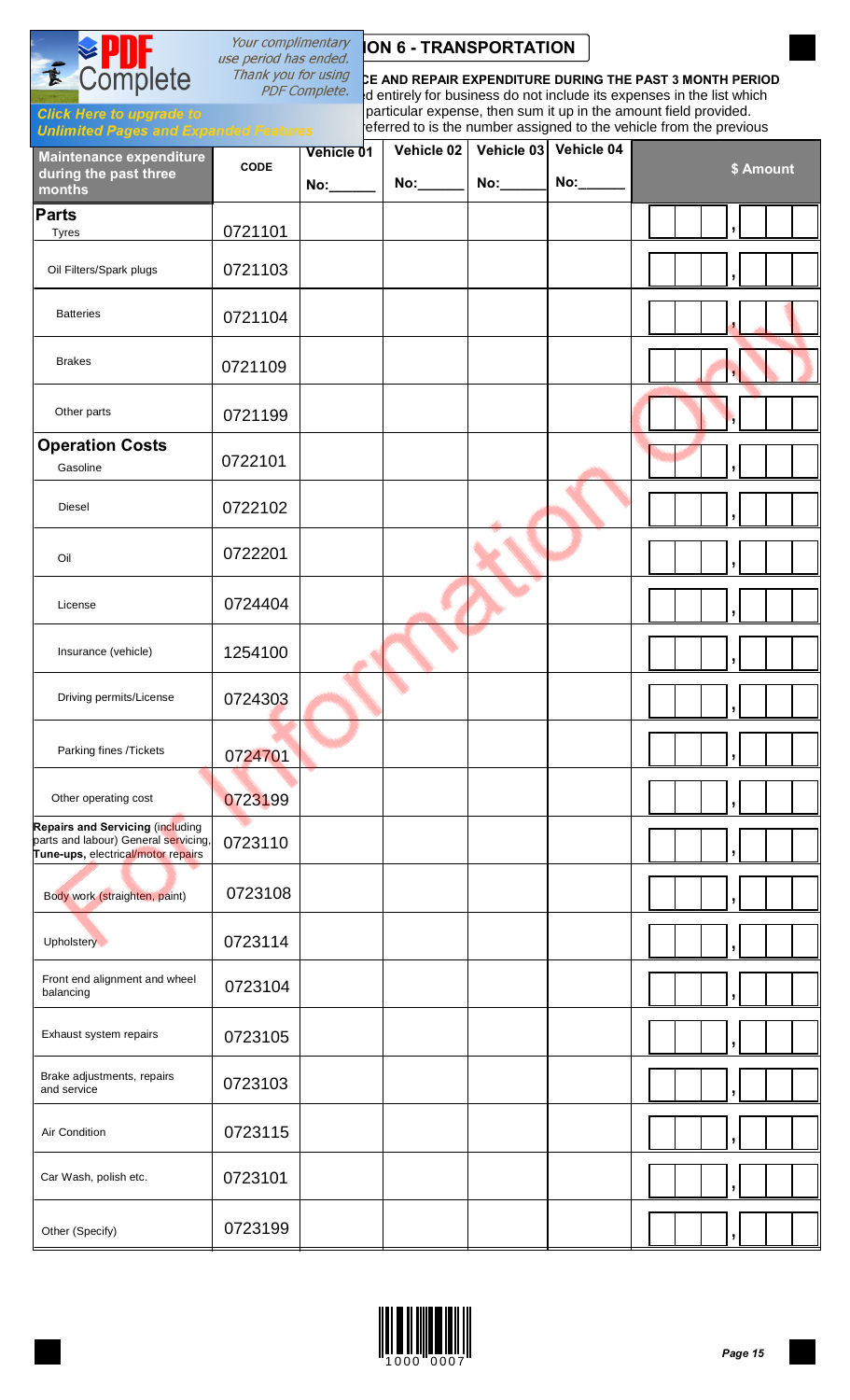# Your complimentary **ION 6 - TRANSPORTATION**<br>use period has ended.

*Thank you for using*<br>PDF Complete. <sub>sid</sub>entirely for business do not include its expenses in the list which Id entirely for business do not include its expenses in the list which **Click Here to upgrade to**<br>**Follows For each vehicle list the particular expense, then sum it up in the amount field provided.** eferred to is the number assigned to the vehicle from the previous

#### **Unlimited Pages and Ex**

**Complete** 

E

| Maintenance expenditure                                                                                        |             | Vehicle 01 | Vehicle 02 | Vehicle 03 | Vehicle 04 |                          |           |
|----------------------------------------------------------------------------------------------------------------|-------------|------------|------------|------------|------------|--------------------------|-----------|
| during the past three<br>months                                                                                | <b>CODE</b> | No:        | $No:\_\_$  | No:        | No:        |                          | \$ Amount |
| <b>Parts</b><br><b>Tyres</b>                                                                                   | 0721101     |            |            |            |            |                          |           |
| Oil Filters/Spark plugs                                                                                        | 0721103     |            |            |            |            |                          |           |
| <b>Batteries</b>                                                                                               | 0721104     |            |            |            |            |                          |           |
| <b>Brakes</b>                                                                                                  | 0721109     |            |            |            |            | $\overline{\phantom{a}}$ |           |
| Other parts                                                                                                    | 0721199     |            |            |            |            |                          |           |
| <b>Operation Costs</b><br>Gasoline                                                                             | 0722101     |            |            |            |            | y                        |           |
| Diesel                                                                                                         | 0722102     |            |            |            |            |                          |           |
| Oil                                                                                                            | 0722201     |            |            |            |            | J                        |           |
| License                                                                                                        | 0724404     |            |            |            |            |                          |           |
| Insurance (vehicle)                                                                                            | 1254100     |            |            |            |            |                          |           |
| Driving permits/License                                                                                        | 0724303     |            |            |            |            |                          |           |
| Parking fines /Tickets                                                                                         | 0724701     |            |            |            |            | J                        |           |
| Other operating cost                                                                                           | 0723199     |            |            |            |            |                          |           |
| Repairs and Servicing (including<br>parts and labour) General servicing,<br>Tune-ups, electrical/motor repairs | 0723110     |            |            |            |            |                          |           |
| Body work (straighten, paint)                                                                                  | 0723108     |            |            |            |            |                          |           |
| Upholstery V                                                                                                   | 0723114     |            |            |            |            |                          |           |
| Front end alignment and wheel<br>balancing                                                                     | 0723104     |            |            |            |            |                          |           |
| Exhaust system repairs                                                                                         | 0723105     |            |            |            |            |                          |           |
| Brake adjustments, repairs<br>and service                                                                      | 0723103     |            |            |            |            |                          |           |
| Air Condition                                                                                                  | 0723115     |            |            |            |            |                          |           |
| Car Wash, polish etc.                                                                                          | 0723101     |            |            |            |            |                          |           |
| Other (Specify)                                                                                                | 0723199     |            |            |            |            |                          |           |

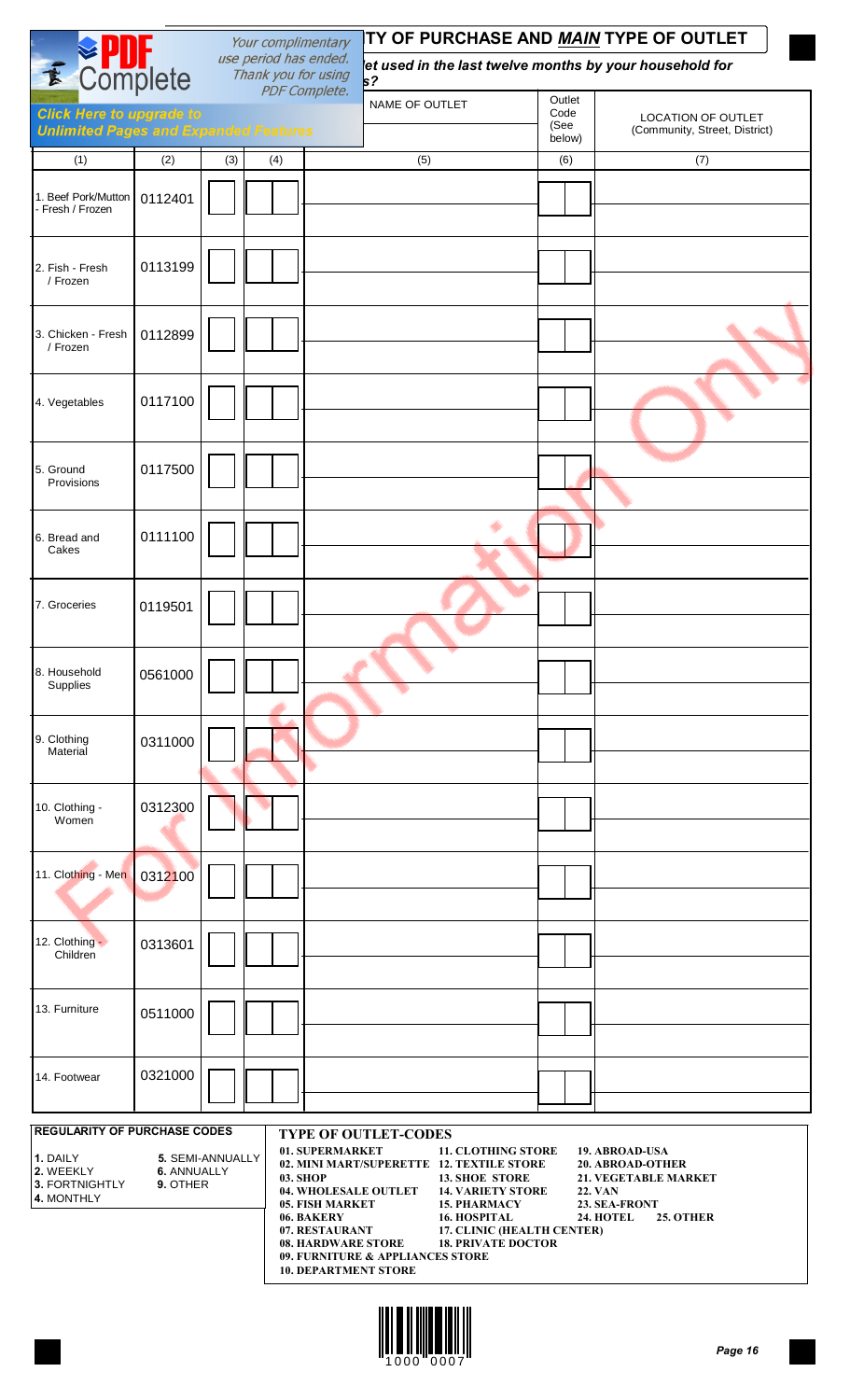| Your complimentary                                                              |         |     |                                              |                      | TY OF PURCHASE AND <u>MAIN</u> TYPE OF OUTLET |   |                        |                                                            |  |
|---------------------------------------------------------------------------------|---------|-----|----------------------------------------------|----------------------|-----------------------------------------------|---|------------------------|------------------------------------------------------------|--|
| <b>E</b> Complete                                                               |         |     | use period has ended.<br>Thank you for using | <b>PDF Complete.</b> | s <sub>2</sub>                                |   |                        | et used in the last twelve months by your household for    |  |
| <b>Click Here to upgrade to</b><br><b>Unlimited Pages and Expanded Features</b> |         |     |                                              |                      | NAME OF OUTLET                                |   | Outlet<br>Code<br>(See | <b>LOCATION OF OUTLET</b><br>(Community, Street, District) |  |
| (1)                                                                             | (2)     | (3) | (4)                                          |                      | (5)                                           |   | below)<br>(6)          | (7)                                                        |  |
| 1. Beef Pork/Mutton<br>- Fresh / Frozen                                         | 0112401 |     |                                              |                      |                                               |   |                        |                                                            |  |
| 2. Fish - Fresh<br>/ Frozen                                                     | 0113199 |     |                                              |                      |                                               |   |                        |                                                            |  |
| 3. Chicken - Fresh<br>/ Frozen                                                  | 0112899 |     |                                              |                      |                                               |   |                        |                                                            |  |
| 4. Vegetables                                                                   | 0117100 |     |                                              |                      |                                               |   |                        |                                                            |  |
| 5. Ground<br>Provisions                                                         | 0117500 |     |                                              |                      |                                               |   |                        |                                                            |  |
| 6. Bread and<br>Cakes                                                           | 0111100 |     |                                              |                      |                                               | ۰ |                        |                                                            |  |
| 7. Groceries                                                                    | 0119501 |     |                                              |                      |                                               |   |                        |                                                            |  |
| 8. Household<br>Supplies                                                        | 0561000 |     |                                              |                      |                                               |   |                        |                                                            |  |
| 9. Clothing<br>Material                                                         | 0311000 |     |                                              |                      |                                               |   |                        |                                                            |  |
| 10. Clothing -<br>Women                                                         | 0312300 |     |                                              |                      |                                               |   |                        |                                                            |  |
| 11. Clothing - Men                                                              | 0312100 |     |                                              |                      |                                               |   |                        |                                                            |  |
| 12. Clothing -<br>Children                                                      | 0313601 |     |                                              |                      |                                               |   |                        |                                                            |  |
| 13. Furniture                                                                   | 0511000 |     |                                              |                      |                                               |   |                        |                                                            |  |
| 14. Footwear                                                                    | 0321000 |     |                                              |                      |                                               |   |                        |                                                            |  |
| <b>REGULARITY OF PURCHASE CODES</b>                                             |         |     |                                              |                      | <b>TYPE OF OUTLET-CODES</b>                   |   |                        |                                                            |  |

| l 1. DAII Y           | 5. SEMI-ANNUALLY   |
|-----------------------|--------------------|
| 12. WFFKI Y           | <b>6. ANNUALLY</b> |
| <b>3. FORTNIGHTLY</b> | 9. OTHER           |
| I4. MONTHI Y          |                    |

- **02. MINI MART/SUPERETTE 12. TEXTILE STORE 20. ABROAD-OTHER**
- **04. WHOLESALE OUTLET 14. VARIETY STORE 22. VAN**
- **05. FISH MARKET 15. PHARMACY**<br>**24. BAKERY 24. SEAREMENTAL**
- -
- **06. BAKERY 16. HOSPITAL 24. HOTEL 25. OTHER 07. RESTAURANT 17. CLINIC (HEALTH CENTER)**
	-
- **08. HARDWARE STORE 18. PRIVATE DOCTOR**
- **09. FURNITURE & APPLIANCES STORE**
- **10. DEPARTMENT STORE**



- 
- 

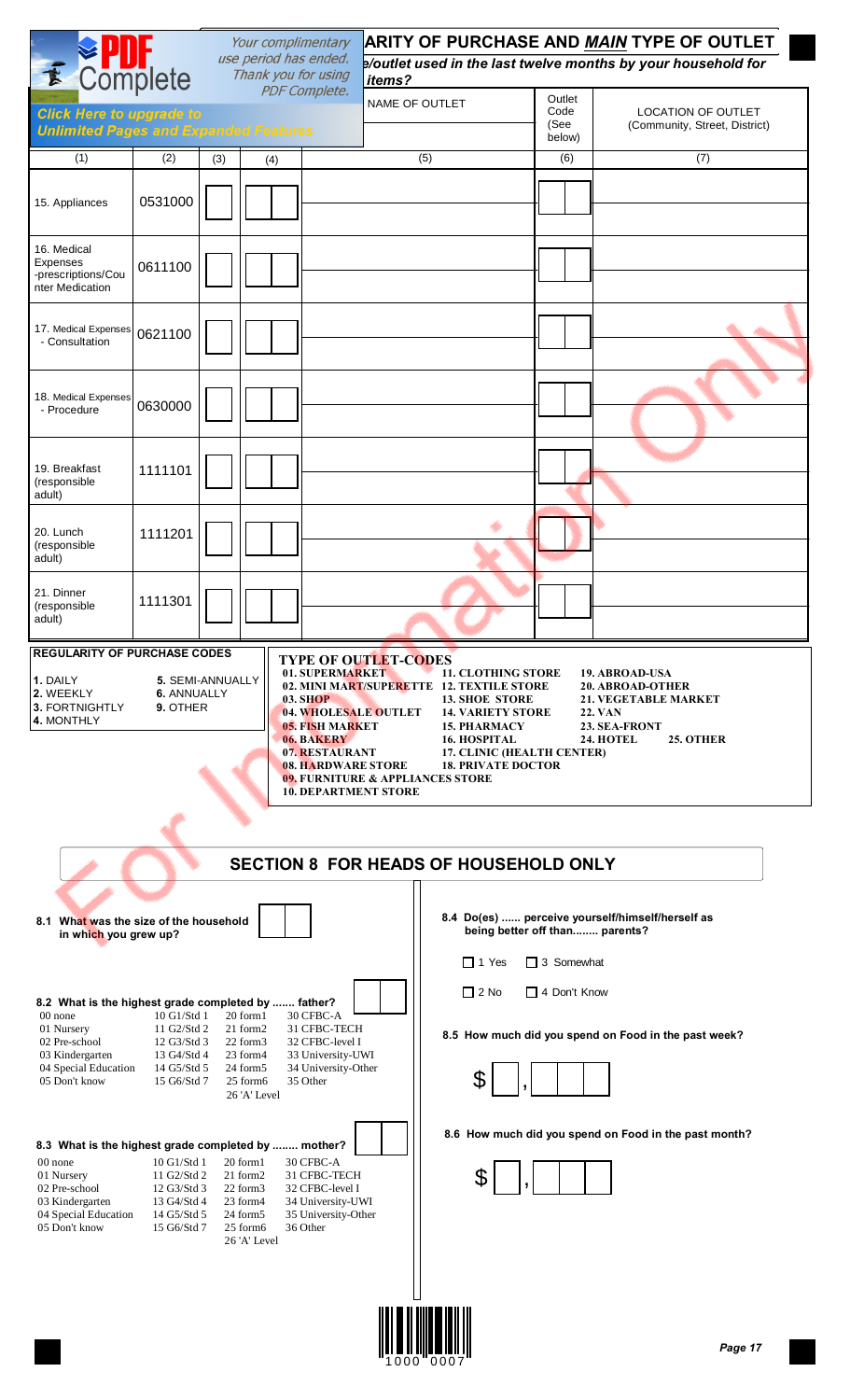| E Complete                                                                                                                                                                                                                                                                                                                                      |                                                                                                                                                                                                                                                                                                                                                                                                                                                                                                                                                                                                                                                                                                                                          |     | Your complimentary<br>use period has ended.<br>Thank you for using                                                                                                           | items?                                                                                                                                                                                                       | ARITY OF PURCHASE AND MAIN TYPE OF OUTLET<br>p/outlet used in the last twelve months by your household for |                                   |                                                                                                               |  |  |  |  |
|-------------------------------------------------------------------------------------------------------------------------------------------------------------------------------------------------------------------------------------------------------------------------------------------------------------------------------------------------|------------------------------------------------------------------------------------------------------------------------------------------------------------------------------------------------------------------------------------------------------------------------------------------------------------------------------------------------------------------------------------------------------------------------------------------------------------------------------------------------------------------------------------------------------------------------------------------------------------------------------------------------------------------------------------------------------------------------------------------|-----|------------------------------------------------------------------------------------------------------------------------------------------------------------------------------|--------------------------------------------------------------------------------------------------------------------------------------------------------------------------------------------------------------|------------------------------------------------------------------------------------------------------------|-----------------------------------|---------------------------------------------------------------------------------------------------------------|--|--|--|--|
| <b>Click Here to upgrade to</b><br><b>Unlimited Pages and Expanded Features</b>                                                                                                                                                                                                                                                                 |                                                                                                                                                                                                                                                                                                                                                                                                                                                                                                                                                                                                                                                                                                                                          |     |                                                                                                                                                                              | <b>PDF Complete.</b>                                                                                                                                                                                         | <b>NAME OF OUTLET</b>                                                                                      | Outlet<br>Code<br>(See<br>below)  | <b>LOCATION OF OUTLET</b><br>(Community, Street, District)                                                    |  |  |  |  |
| (1)                                                                                                                                                                                                                                                                                                                                             | (2)                                                                                                                                                                                                                                                                                                                                                                                                                                                                                                                                                                                                                                                                                                                                      | (3) | (4)                                                                                                                                                                          |                                                                                                                                                                                                              | (5)                                                                                                        | (6)                               | (7)                                                                                                           |  |  |  |  |
| 15. Appliances                                                                                                                                                                                                                                                                                                                                  | 0531000                                                                                                                                                                                                                                                                                                                                                                                                                                                                                                                                                                                                                                                                                                                                  |     |                                                                                                                                                                              |                                                                                                                                                                                                              |                                                                                                            |                                   |                                                                                                               |  |  |  |  |
| 16. Medical<br>Expenses<br>-prescriptions/Cou<br>nter Medication                                                                                                                                                                                                                                                                                | 0611100                                                                                                                                                                                                                                                                                                                                                                                                                                                                                                                                                                                                                                                                                                                                  |     |                                                                                                                                                                              |                                                                                                                                                                                                              |                                                                                                            |                                   |                                                                                                               |  |  |  |  |
| 17. Medical Expenses<br>- Consultation                                                                                                                                                                                                                                                                                                          | 0621100                                                                                                                                                                                                                                                                                                                                                                                                                                                                                                                                                                                                                                                                                                                                  |     |                                                                                                                                                                              |                                                                                                                                                                                                              |                                                                                                            |                                   |                                                                                                               |  |  |  |  |
| 18. Medical Expenses<br>- Procedure                                                                                                                                                                                                                                                                                                             | 0630000                                                                                                                                                                                                                                                                                                                                                                                                                                                                                                                                                                                                                                                                                                                                  |     |                                                                                                                                                                              |                                                                                                                                                                                                              |                                                                                                            |                                   |                                                                                                               |  |  |  |  |
| 19. Breakfast<br>(responsible<br>adult)                                                                                                                                                                                                                                                                                                         | 1111101                                                                                                                                                                                                                                                                                                                                                                                                                                                                                                                                                                                                                                                                                                                                  |     |                                                                                                                                                                              |                                                                                                                                                                                                              |                                                                                                            |                                   |                                                                                                               |  |  |  |  |
| 20. Lunch<br>(responsible<br>adult)                                                                                                                                                                                                                                                                                                             | 1111201                                                                                                                                                                                                                                                                                                                                                                                                                                                                                                                                                                                                                                                                                                                                  |     |                                                                                                                                                                              |                                                                                                                                                                                                              | ۰                                                                                                          |                                   |                                                                                                               |  |  |  |  |
| 21. Dinner<br>(responsible<br>adult)                                                                                                                                                                                                                                                                                                            | 1111301                                                                                                                                                                                                                                                                                                                                                                                                                                                                                                                                                                                                                                                                                                                                  |     |                                                                                                                                                                              |                                                                                                                                                                                                              |                                                                                                            |                                   |                                                                                                               |  |  |  |  |
| 1. DAILY<br>2. WEEKLY<br>3. FORTNIGHTLY<br>4. MONTHLY                                                                                                                                                                                                                                                                                           | <b>REGULARITY OF PURCHASE CODES</b><br><b>TYPE OF OUTLET-CODES</b><br>01. SUPERMARKET<br>19. ABROAD-USA<br><b>11. CLOTHING STORE</b><br><b>5. SEMI-ANNUALLY</b><br>02. MINI MART/SUPERETTE 12. TEXTILE STORE<br><b>20. ABROAD-OTHER</b><br>6. ANNUALLY<br><b>03. SHOP</b><br><b>13. SHOE STORE</b><br><b>21. VEGETABLE MARKET</b><br>9. OTHER<br>04. WHOLESALE OUTLET<br><b>14. VARIETY STORE</b><br><b>22. VAN</b><br>23. SEA-FRONT<br><b>05. FISH MARKET</b><br><b>15. PHARMACY</b><br><b>24. HOTEL</b><br>25. OTHER<br>06. BAKERY<br><b>16. HOSPITAL</b><br>07. RESTAURANT<br>17. CLINIC (HEALTH CENTER)<br><b>18. PRIVATE DOCTOR</b><br><b>08. HARDWARE STORE</b><br>09. FURNITURE & APPLIANCES STORE<br><b>10. DEPARTMENT STORE</b> |     |                                                                                                                                                                              |                                                                                                                                                                                                              |                                                                                                            |                                   |                                                                                                               |  |  |  |  |
| 8.1 What was the size of the household                                                                                                                                                                                                                                                                                                          |                                                                                                                                                                                                                                                                                                                                                                                                                                                                                                                                                                                                                                                                                                                                          |     |                                                                                                                                                                              |                                                                                                                                                                                                              | <b>SECTION 8 FOR HEADS OF HOUSEHOLD ONLY</b><br>being better off than parents?                             |                                   | 8.4 Do(es)  perceive yourself/himself/herself as                                                              |  |  |  |  |
| in which you grew up?<br>8.2 What is the highest grade completed by  father?<br>00 none<br>01 Nursery<br>02 Pre-school<br>03 Kindergarten<br>04 Special Education<br>05 Don't know<br>8.3 What is the highest grade completed by  mother?<br>00 none<br>01 Nursery<br>02 Pre-school<br>03 Kindergarten<br>04 Special Education<br>05 Don't know | 10 G1/Std 1<br>11 G2/Std 2<br>12 G3/Std 3<br>13 G4/Std 4<br>14 G5/Std 5<br>15 G6/Std 7<br>10 G1/Std 1<br>11 G2/Std 2<br>12 G3/Std 3<br>13 G4/Std 4<br>14 G5/Std 5<br>15 G6/Std 7                                                                                                                                                                                                                                                                                                                                                                                                                                                                                                                                                         |     | 20 form1<br>21 form2<br>22 form3<br>23 form4<br>24 form5<br>25 form6<br>26 'A' Level<br>20 form1<br>21 form2<br>22 form3<br>23 form4<br>24 form5<br>25 form6<br>26 'A' Level | 30 CFBC-A<br>31 CFBC-TECH<br>32 CFBC-level I<br>33 University-UWI<br>34 University-Other<br>35 Other<br>30 CFBC-A<br>31 CFBC-TECH<br>32 CFBC-level I<br>34 University-UWI<br>35 University-Other<br>36 Other | $\Box$ 1 Yes<br>$\Box$ 2 No                                                                                | $\Box$ 3 Somewhat<br>4 Don't Know | 8.5 How much did you spend on Food in the past week?<br>8.6 How much did you spend on Food in the past month? |  |  |  |  |

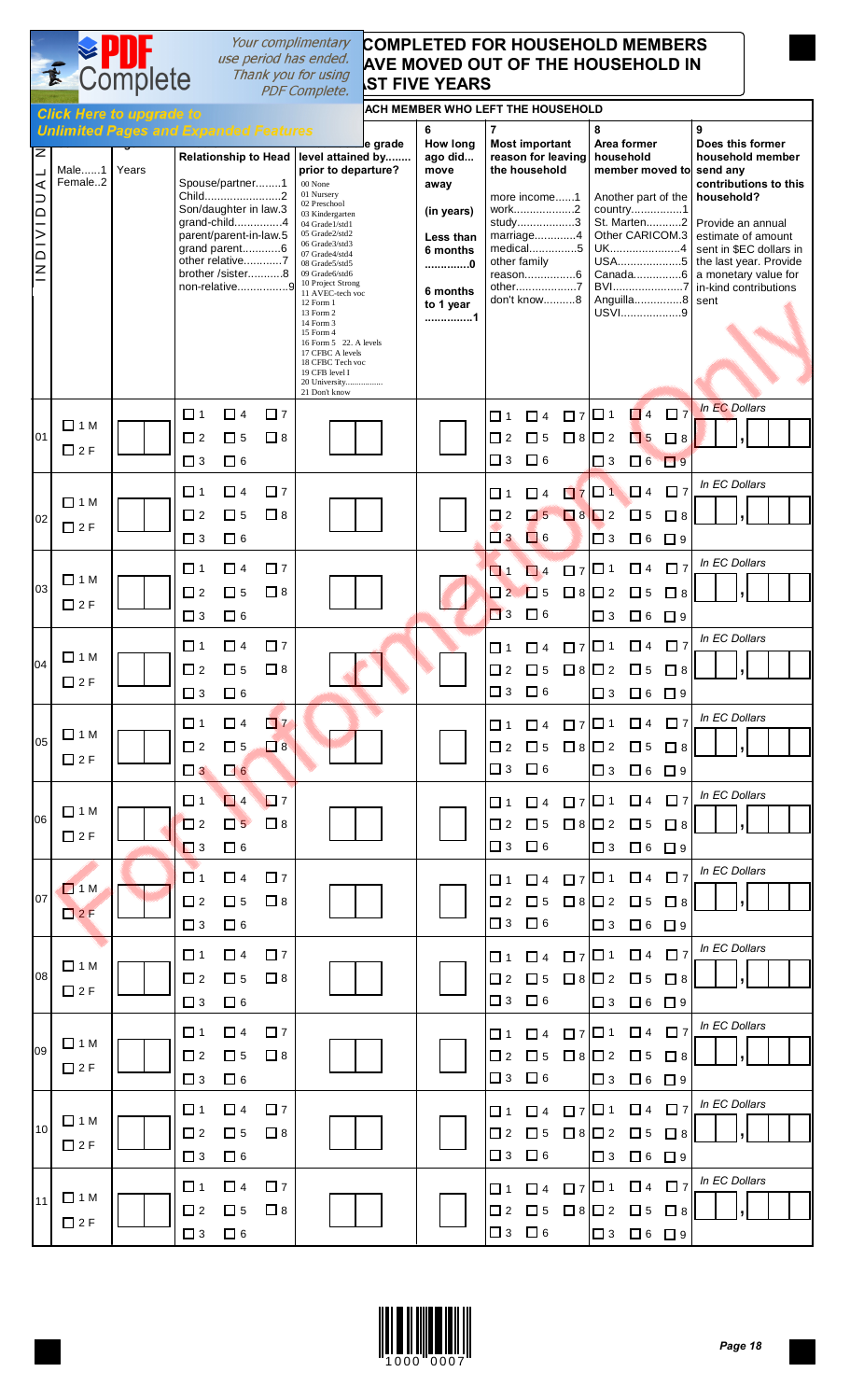## **COMPLETED FOR HOUSEHOLD MEMBERS AVE MOVED OUT OF THE HOUSEHOLD IN** Complete Thank you for using **ST FIVE YEARS**

|                                                                                                     |                             | <b>Click Here to upgrade to</b>                       |                                     |                                                                                                                                                      |                              |                                                                                                                                                                                                                                                                                                                                                                                                                                                            |         | ACH MEMBER WHO LEFT THE HOUSEHOLD                                                                                         |                                           |                                                                                                                                                                                                  |                                        |                                 |                                                                                                                                                                      |                                        |                                                                                                                                                                                                                       |               |                  |  |
|-----------------------------------------------------------------------------------------------------|-----------------------------|-------------------------------------------------------|-------------------------------------|------------------------------------------------------------------------------------------------------------------------------------------------------|------------------------------|------------------------------------------------------------------------------------------------------------------------------------------------------------------------------------------------------------------------------------------------------------------------------------------------------------------------------------------------------------------------------------------------------------------------------------------------------------|---------|---------------------------------------------------------------------------------------------------------------------------|-------------------------------------------|--------------------------------------------------------------------------------------------------------------------------------------------------------------------------------------------------|----------------------------------------|---------------------------------|----------------------------------------------------------------------------------------------------------------------------------------------------------------------|----------------------------------------|-----------------------------------------------------------------------------------------------------------------------------------------------------------------------------------------------------------------------|---------------|------------------|--|
| $\overline{\mathsf{z}}$<br>┙<br>⋖<br>$\supset$<br>$\overline{=}$<br>$\frac{1}{2}$<br>$\overline{a}$ | Male1<br>Female2            | <b>Unlimited Pages and Expanded Features</b><br>Years |                                     | Spouse/partner1<br>Child2<br>Son/daughter in law.3<br>grand-child4<br>parent/parent-in-law.5<br>grand parent6<br>other relative7<br>brother /sister8 | non-relative9                | Relationship to Head   level attained by<br>prior to departure?<br>00 None<br>01 Nursery<br>02 Preschool<br>03 Kindergarten<br>04 Grade1/std1<br>05 Grade2/std2<br>06 Grade3/std3<br>07 Grade4/std4<br>08 Grade5/std5<br>09 Grade6/std6<br>10 Project Strong<br>11 AVEC-tech voc<br>12 Form 1<br>13 Form 2<br>14 Form 3<br>15 Form 4<br>16 Form 5 22. A levels<br>17 CFBC A levels<br>18 CFBC Tech voc<br>19 CFB level I<br>20 University<br>21 Don't know | e grade | 6<br><b>How long</b><br>ago did<br>move<br>away<br>(in years)<br>Less than<br>6 months<br>0<br>6 months<br>to 1 year<br>1 | $\overline{7}$                            | <b>Most important</b><br>reason for leaving<br>the household<br>more income1<br>work2<br>study3<br>marriage4<br>medical5<br>other family<br>reason6<br>other7<br>don't know8                     |                                        | 8<br>household                  | Area former<br>member moved to send any<br>Another part of the<br>country1<br>St. Marten2<br>Other CARICOM.3<br>UK4<br>USA5<br>Canada6<br>BVI7<br>Anguilla8<br>USVI9 |                                        | 9<br>Does this former<br>contributions to this<br>household?<br>Provide an annual<br>estimate of amount<br>sent in \$EC dollars in<br>the last year. Provide<br>a monetary value for<br>in-kind contributions<br>sent |               | household member |  |
| 01                                                                                                  | $\Box$ 1 M<br>$\square$ 2 F |                                                       | $\Box$ 1<br>$\Box$ 2<br>$\square$ 3 | □ 4<br>口 5<br>$\Box$ 6                                                                                                                               | $\square$ 7<br>$\Box$ 8      |                                                                                                                                                                                                                                                                                                                                                                                                                                                            |         |                                                                                                                           | $\Box$ 1<br>$\Box$ 2<br>$\Box$ 3          | $\Box$ 4<br>$\square$ 5<br>$\Box$ 6                                                                                                                                                              | $\Box$ 7 $\Box$ 1<br>$\Box$ 8 $\Box$ 2 | $\Box$ 3                        | $\Box$ 4 $\Box$ 7<br>$\Box$ 5<br>$\Box$ 6                                                                                                                            | $\Box$ 8<br>$\Box$ 9                   |                                                                                                                                                                                                                       | In EC Dollars |                  |  |
| 02                                                                                                  | $\Box$ 1 M<br>$\square$ 2 F |                                                       | $\Box$ 1<br>$\Box$ 2<br>$\Box$ 3    | $\Box$ 4<br>$\square$ 5<br>$\Box$ 6                                                                                                                  | $\square$ 7<br>$\Box$ 8      |                                                                                                                                                                                                                                                                                                                                                                                                                                                            |         |                                                                                                                           | $\Box$ 1<br>$\Box$ 2                      | $\Box$ 4<br>$\sqrt{5}$<br>$\Box$ 3 $\Box$ 6                                                                                                                                                      | $B8$ $2$                               | $7$ $7$ $1$ $1$ $1$<br>$\Box$ 3 | $\Box$ 5<br>$\Box$ 6 $\Box$ 9                                                                                                                                        | $\square$ 7<br>$\Box$ 8                |                                                                                                                                                                                                                       | In EC Dollars |                  |  |
| 03                                                                                                  | $\Box$ 1 M<br>$\square$ 2 F |                                                       | $\Box$ 1<br>$\Box$ 2<br>$\square$ 3 | $\Box$ 4<br>$\Box$ 5<br>$\Box$ 6                                                                                                                     | □ 7<br>$\Box$ 8              |                                                                                                                                                                                                                                                                                                                                                                                                                                                            |         |                                                                                                                           | $\blacksquare$<br>$\square$ 2<br>$\Box$ 3 | $\Box$ 4<br>$\Box$ 5<br>$\Box$ 6                                                                                                                                                                 | $\Box$ 7 $\Box$ 1<br>$\Box$ 8          | I□ 2<br>$\Box$ 3                | $\Box$ 4<br>$\square$ 5<br>$\Box$ 6                                                                                                                                  | $\square$ 7<br>$\square$ 8<br>$\Box$ 9 |                                                                                                                                                                                                                       | In EC Dollars |                  |  |
| 04                                                                                                  | $\Box$ 1 M<br>$\square$ 2 F |                                                       | $\Box$ 1<br>$\Box$ 2<br>$\square$ 3 | $\Box$ 4<br>$\Box$ 5<br>$\Box$ 6                                                                                                                     | $\square$ 7<br>$\Box$ 8      |                                                                                                                                                                                                                                                                                                                                                                                                                                                            |         |                                                                                                                           | П 1<br>$\Box$ 2<br>$\Box$ 3               | $\Box$ 4<br>$\square$ 5<br>$\Box$ 6                                                                                                                                                              | $\Box$ 7 $\Box$ 1<br>$\Box$ 8 $\Box$ 2 | $\Box$ 3                        | $\Box$ 4<br>$\square$ 5<br>$\Box$ 6 $\Box$ 9                                                                                                                         | $\square$ 7<br>$\Box$ 8                |                                                                                                                                                                                                                       | In EC Dollars |                  |  |
| 05                                                                                                  | $\Box$ 1 M<br>$\square$ 2 F |                                                       | □ 1<br>$\square$ 2                  | □ 4<br>$\Box$ 5<br>$\Box$ 3 $\Box$ 6                                                                                                                 | $\blacksquare$ 7<br>$\Box$ 8 |                                                                                                                                                                                                                                                                                                                                                                                                                                                            |         |                                                                                                                           |                                           | $\boxed{ \square 1 \ \square 4 \ \square 7 }$ $\boxed{ \square 1 \ \square 4 \ \square 7 }$<br>$\Box$ 3 $\Box$ 6                                                                                 |                                        |                                 | │□3 □6 □9                                                                                                                                                            |                                        |                                                                                                                                                                                                                       | In EC Dollars |                  |  |
| 06 l                                                                                                | $\Box$ 1 M<br>$\square$ 2 F |                                                       | □ 1<br>$\square$ 2<br>$\Box$ 3      | $\Box$ 4<br>$\Box$ 5<br>$\Box$ 6                                                                                                                     | $\Box$ 7<br>$\Box$ 8         |                                                                                                                                                                                                                                                                                                                                                                                                                                                            |         |                                                                                                                           |                                           | $\boxed{ \square 1 \quad \square 4 \quad \square 7 \begin{vmatrix} \square 1 & \square 4 & \square 7 \end{vmatrix} \xrightarrow{In EC Dollars} }$<br>$\Box$ 3 $\Box$ 6                           |                                        |                                 | │□3 □6 □9                                                                                                                                                            |                                        |                                                                                                                                                                                                                       |               |                  |  |
| 07                                                                                                  | $\Box$ 1 M<br>2F            |                                                       | $\Box$ 1<br>$\square$ 2<br>$\Box$ 3 | $\Box$ 4<br>$\square$ 5<br>$\Box$ 6                                                                                                                  | $\Box$ 7<br>$\Box$ 8         |                                                                                                                                                                                                                                                                                                                                                                                                                                                            |         |                                                                                                                           |                                           | 01 04 07 01 04 07<br><b>□</b> 3 □ 6                                                                                                                                                              |                                        |                                 | │□3 □6 □9                                                                                                                                                            |                                        | In EC Dollars                                                                                                                                                                                                         |               |                  |  |
| 08                                                                                                  | $\Box$ 1 M<br>$\square$ 2 F |                                                       | $\Box$ 1<br>$\square$ 2<br>$\Box$ 3 | $\Box$ 4<br>$\Box$ 5<br>$\Box$ 6                                                                                                                     | $\square$ 7<br>$\Box$ 8      |                                                                                                                                                                                                                                                                                                                                                                                                                                                            |         |                                                                                                                           |                                           | $\boxed{ \square 1 \quad \square 4 \quad \square 7 \begin{vmatrix} \square 1 & \square 4 & \square 7 \end{vmatrix} \xrightarrow{In EC Dollars} }$<br>$\square$ 3 $\square$ 6                     |                                        |                                 | $\Box$ 3 $\Box$ 6 $\Box$ 9                                                                                                                                           |                                        |                                                                                                                                                                                                                       |               |                  |  |
| 09 l                                                                                                | $\Box$ 1 M<br>$\square$ 2 F |                                                       | □ 1<br>$\Box$ 2<br>$\Box$ 3         | $\Box$ 4<br>$\Box$ 5<br>$\Box$ 6                                                                                                                     | $\Box$ 7<br>$\Box$ 8         |                                                                                                                                                                                                                                                                                                                                                                                                                                                            |         |                                                                                                                           |                                           | │□1 □4 □ァ│□1 □4 □ァ│<br>$\Box 2 \quad \Box 5 \quad \Box 8 \vert \Box 2 \quad \Box 5 \quad \Box 8$<br>$\square$ 3 $\square$ 6                                                                      |                                        |                                 | $\Box$ 3 $\Box$ 6 $\Box$ 9                                                                                                                                           |                                        | In EC Dollars                                                                                                                                                                                                         |               |                  |  |
| 10 <sup>1</sup>                                                                                     | $\Box$ 1 M<br>$\square$ 2 F |                                                       | $\Box$ 1<br>$\square$ 2<br>$\Box$ 3 | $\Box$ 4<br>$\square$ 5<br>$\Box$ 6                                                                                                                  | $\Box$ 7<br>$\Box$ 8         |                                                                                                                                                                                                                                                                                                                                                                                                                                                            |         |                                                                                                                           |                                           | $\boxed{ \begin{array}{cccccccccc} \square & 1 & \square & 4 & \square & 7 & \square & 1 & \square & 4 & \square & 7 & \square & \text{m} & \text{ECDollars} \end{array} }$<br>$\Box$ 3 $\Box$ 6 |                                        |                                 | │□3 □6 □9                                                                                                                                                            |                                        |                                                                                                                                                                                                                       |               |                  |  |
|                                                                                                     | 11 $\Box$ 1 M<br>$\Box$ 2 F |                                                       | $\Box$ 1<br>$\square$ 2<br>$\Box$ 3 | $\Box$ 4<br>$\square$ 5<br>$\Box$ 6                                                                                                                  | □ 7<br>$\Box$ 8              |                                                                                                                                                                                                                                                                                                                                                                                                                                                            |         |                                                                                                                           |                                           | │□1 □4 □ァ│□1 □4 □ァ│<br>$\square$ 3 $\square$ 6                                                                                                                                                   |                                        |                                 | □3 □6 □9                                                                                                                                                             |                                        | In EC Dollars                                                                                                                                                                                                         |               |                  |  |

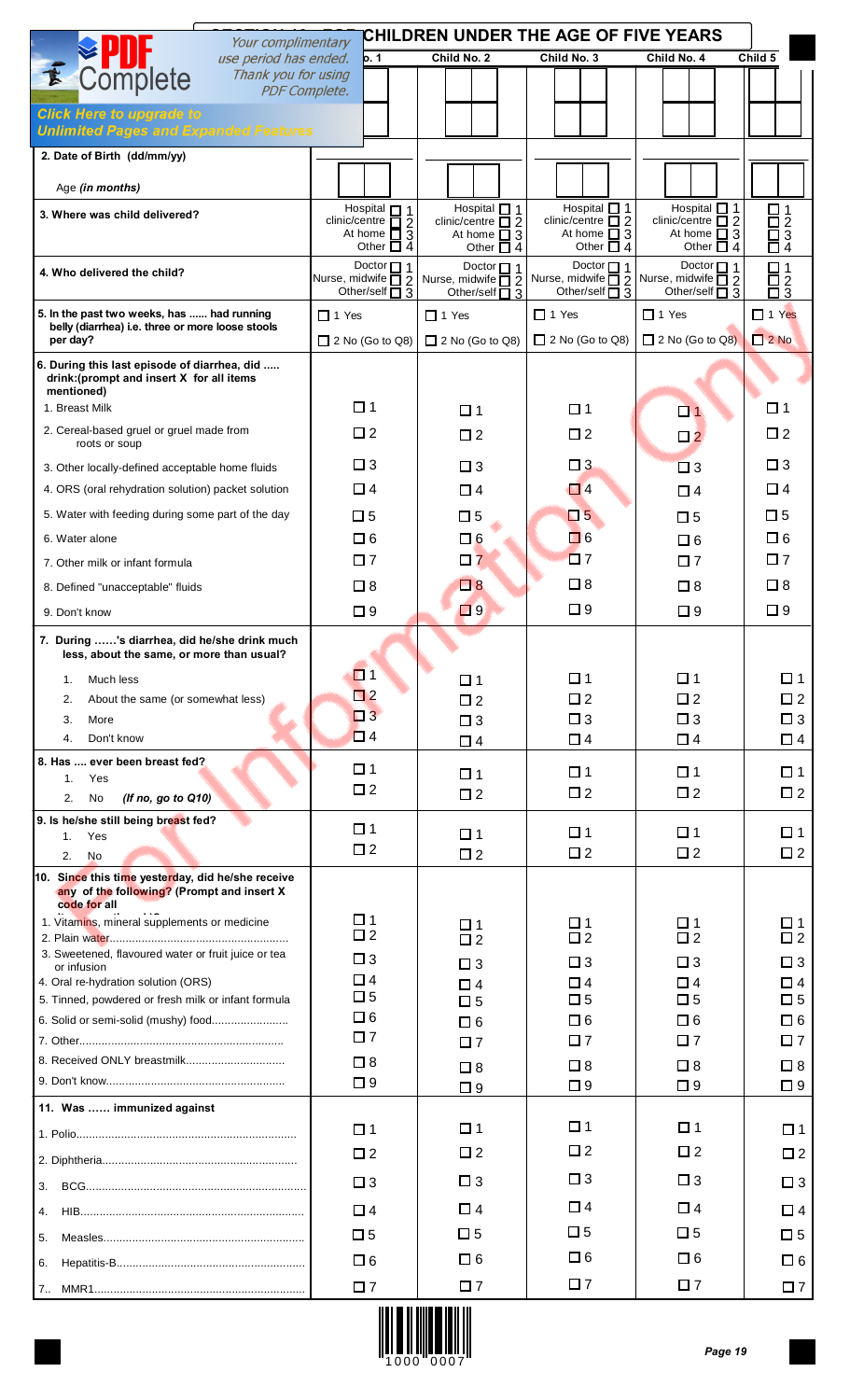|                                                                                                                 | CHILDREN UNDER THE AGE OF FIVE YEARS<br>Your complimentary       |                                                  |                                                  |                                                  |                                                             |  |  |  |  |  |
|-----------------------------------------------------------------------------------------------------------------|------------------------------------------------------------------|--------------------------------------------------|--------------------------------------------------|--------------------------------------------------|-------------------------------------------------------------|--|--|--|--|--|
| use period has ended.                                                                                           | 0.1                                                              | Child No. 2                                      | Child No. 3                                      | Child No. 4                                      | Child 5                                                     |  |  |  |  |  |
| Complete<br>Thank you for using<br><b>PDF Complete.</b>                                                         |                                                                  |                                                  |                                                  |                                                  |                                                             |  |  |  |  |  |
| <b>Click Here to upgrade to</b>                                                                                 |                                                                  |                                                  |                                                  |                                                  |                                                             |  |  |  |  |  |
| <b>Unlimited Pages and Expanded Features</b>                                                                    |                                                                  |                                                  |                                                  |                                                  |                                                             |  |  |  |  |  |
| 2. Date of Birth (dd/mm/yy)                                                                                     |                                                                  |                                                  |                                                  |                                                  |                                                             |  |  |  |  |  |
| Age (in months)                                                                                                 |                                                                  |                                                  |                                                  |                                                  |                                                             |  |  |  |  |  |
| 3. Where was child delivered?                                                                                   | Hospital $\Box$ 1                                                | Hospital $\Box$ 1                                | Hospital $\Box$ 1                                | Hospital $\Box$ 1                                |                                                             |  |  |  |  |  |
|                                                                                                                 | clinic/centre $\overline{\Box}$ 2<br>At home $\overline{\Box}$ 3 | clinic/centre $\square$ 2<br>At home $\square$ 3 | clinic/centre $\square$ 2<br>At home $\square$ 3 | clinic/centre $\square$ 2<br>At home $\square$ 3 | $\begin{array}{c}\n\Box 1 \\ \Box 2 \\ \Box 3\n\end{array}$ |  |  |  |  |  |
|                                                                                                                 | Other $\Box$ 4                                                   | Other $\Box$ 4<br>Doctor $\Box$ 1                | Other $\Box$ 4<br>Doctor $\Box$ 1                | Other $\Box$ 4<br>Doctor $\Box$ 1                | Θ4                                                          |  |  |  |  |  |
| 4. Who delivered the child?                                                                                     | Doctor $\Box$ 1<br>Nurse, midwife $\overline{\square}$ 2         | Nurse, midwife $\overline{\Box}$ 2               | Nurse, midwife $\overline{\Box}$ 2               | Nurse, midwife $\overline{\Box}$ 2               | $\square$ 1<br>$\bar{a}^2$                                  |  |  |  |  |  |
| 5. In the past two weeks, has  had running                                                                      | Other/self $\overline{\Box}$ 3                                   | Other/self $\overline{\square}$ 3                | Other/self $\overline{\Box}$ 3<br>$\Box$ 1 Yes   | Other/self $\overline{\Box}$ 3<br>$\Box$ 1 Yes   | $\Box$ 1 Yes                                                |  |  |  |  |  |
| belly (diarrhea) i.e. three or more loose stools                                                                | $\Box$ 1 Yes                                                     | $\Box$ 1 Yes                                     |                                                  |                                                  | 2N <sub>o</sub>                                             |  |  |  |  |  |
| per day?                                                                                                        | $\Box$ 2 No (Go to Q8)                                           | $\Box$ 2 No (Go to Q8)                           | $\Box$ 2 No (Go to Q8)                           | $\Box$ 2 No (Go to Q8)                           |                                                             |  |  |  |  |  |
| 6. During this last episode of diarrhea, did<br>drink: (prompt and insert X for all items                       |                                                                  |                                                  |                                                  |                                                  |                                                             |  |  |  |  |  |
| mentioned)<br>1. Breast Milk                                                                                    | $\square$ 1                                                      | $\Box$ 1                                         | $\square$ 1                                      | $\Box$ 1                                         | $\Box$ 1                                                    |  |  |  |  |  |
| 2. Cereal-based gruel or gruel made from                                                                        | $\Box$ 2                                                         | $\square$ 2                                      | $\square$ 2                                      |                                                  | $\square$ 2                                                 |  |  |  |  |  |
| roots or soup                                                                                                   |                                                                  |                                                  |                                                  | $\square$ 2                                      |                                                             |  |  |  |  |  |
| 3. Other locally-defined acceptable home fluids                                                                 | $\square$ 3                                                      | $\square$ 3                                      | $\square$ 3                                      | $\square$ 3                                      | $\square$ 3                                                 |  |  |  |  |  |
| 4. ORS (oral rehydration solution) packet solution                                                              | $\Box$ 4                                                         | $\Box$ 4                                         | $\Box$ 4                                         | $\Box$ 4                                         | $\Box$ 4                                                    |  |  |  |  |  |
| 5. Water with feeding during some part of the day                                                               | $\square$ 5                                                      | $\square$ 5                                      | $\Box$ 5                                         | $\square$ 5                                      | $\square$ 5                                                 |  |  |  |  |  |
| 6. Water alone                                                                                                  | $\Box$ 6                                                         | $\Box$ 6                                         | $\Box$ 6                                         | $\square$ 6                                      | $\Box$ 6                                                    |  |  |  |  |  |
| 7. Other milk or infant formula                                                                                 | $\square$ 7                                                      | $\square$ 7                                      | $\square$ 7                                      | $\square$ 7                                      | $\square$ 7                                                 |  |  |  |  |  |
| 8. Defined "unacceptable" fluids                                                                                | $\square$ 8                                                      | $\Box$ 8                                         | $\square$ 8                                      | $\square$ 8                                      | $\square$ 8                                                 |  |  |  |  |  |
| 9. Don't know                                                                                                   | $\square$ 9                                                      | $\Box$ 9                                         | $\square$ 9                                      | $\square$ 9                                      | $\square$ 9                                                 |  |  |  |  |  |
| 7. During 's diarrhea, did he/she drink much                                                                    |                                                                  |                                                  |                                                  |                                                  |                                                             |  |  |  |  |  |
| less, about the same, or more than usual?                                                                       | ◘ 1                                                              |                                                  |                                                  |                                                  |                                                             |  |  |  |  |  |
| Much less<br>1.<br>2.<br>About the same (or somewhat less)                                                      | $\square$ 2                                                      | $\Box$ 1<br>$\square$ 2                          | $\Box$ 1<br>$\square$ 2                          | $\Box$ 1<br>$\square$ 2                          | $\square$ 1<br>$\Box$ 2                                     |  |  |  |  |  |
| 3.<br>More                                                                                                      | $\square$ 3                                                      | $\square$ 3                                      | $\square$ 3                                      | $\square$ 3                                      | $\square$ 3                                                 |  |  |  |  |  |
| Don't know<br>4.                                                                                                | $\Box$ 4                                                         | $\Box$ 4                                         | $\square$ 4                                      | $\Box$ 4                                         | $\Box$ 4                                                    |  |  |  |  |  |
| 8. Has  ever been breast fed?                                                                                   | $\Box$ 1                                                         | $\square$ 1                                      | $\square$ 1                                      | $\square$ 1                                      | $\square$ 1                                                 |  |  |  |  |  |
| 1.<br>Yes<br>2.<br>No<br>(If no, go to Q10)                                                                     | $\square$ 2                                                      | $\square$ 2                                      | $\square$ 2                                      | $\square$ 2                                      | $\square$ 2                                                 |  |  |  |  |  |
| 9. Is he/she still being breast fed?                                                                            |                                                                  |                                                  |                                                  |                                                  |                                                             |  |  |  |  |  |
| Yes<br>1.                                                                                                       | $\square$ 1                                                      | $\Box$ 1                                         | $\square$ 1                                      | $\Box$ 1                                         | $\Box$ 1                                                    |  |  |  |  |  |
| 2.<br><b>No</b>                                                                                                 | $\square$ 2                                                      | $\square$ 2                                      | $\square$ 2                                      | $\square$ 2                                      | $\square$ 2                                                 |  |  |  |  |  |
| 10. Since this time yesterday, did he/she receive<br>any of the following? (Prompt and insert X<br>code for all |                                                                  |                                                  |                                                  |                                                  |                                                             |  |  |  |  |  |
| 1. Vitamins, mineral supplements or medicine                                                                    | $\Box$ 1                                                         | $\square$ 1                                      | $\square$ 1                                      | □ 1                                              | □ 1                                                         |  |  |  |  |  |
| 3. Sweetened, flavoured water or fruit juice or tea                                                             | $\square$ 2                                                      | $\square$ 2                                      | $\square$ 2                                      | $\square$ 2                                      | $\square$ 2                                                 |  |  |  |  |  |
| or infusion<br>4. Oral re-hydration solution (ORS)                                                              | $\square$ 3<br>$\Box$ 4                                          | $\square$ 3                                      | $\square$ 3<br>$\Box$ 4                          | $\square$ 3<br>$\Box$ 4                          | $\square$ 3<br>$\Box$ 4                                     |  |  |  |  |  |
| 5. Tinned, powdered or fresh milk or infant formula                                                             | $\square$ 5                                                      | $\Box$ 4<br>$\square$ 5                          | $\square$ 5                                      | $\square$ 5                                      | $\square$ 5                                                 |  |  |  |  |  |
|                                                                                                                 | $\Box$ 6                                                         | $\Box$ 6                                         | $\square$ 6                                      | $\Box$ 6                                         | $\square$ 6                                                 |  |  |  |  |  |
|                                                                                                                 | $\square$ 7                                                      | $\square$ 7                                      | $\square$ 7                                      | $\square$ 7                                      | $\square$ 7                                                 |  |  |  |  |  |
|                                                                                                                 | $\square$ 8                                                      | $\square$ 8                                      | $\square$ 8                                      | $\square$ 8                                      | $\square$ 8                                                 |  |  |  |  |  |
|                                                                                                                 | $\square$ 9                                                      | $\square$ 9                                      | $\square$ 9                                      | $\square$ 9                                      | $\square$ 9                                                 |  |  |  |  |  |
| 11. Was  immunized against                                                                                      |                                                                  | $\square$ 1                                      | $\square$ 1                                      | □ 1                                              |                                                             |  |  |  |  |  |
|                                                                                                                 | $\square$ 1                                                      | $\square$ 2                                      | $\square$ 2                                      | $\Box$ 2                                         | $\square$ 1                                                 |  |  |  |  |  |
|                                                                                                                 | $\square$ 2                                                      |                                                  |                                                  |                                                  | $\Box$ 2                                                    |  |  |  |  |  |
| 3.                                                                                                              | $\square$ 3                                                      | $\square$ 3                                      | $\square$ 3                                      | $\square$ 3                                      | $\square$ 3                                                 |  |  |  |  |  |
| 4.                                                                                                              | $\Box$ 4                                                         | $\Box$ 4                                         | $\Box$ 4                                         | $\Box$ 4                                         | $\Box$ 4                                                    |  |  |  |  |  |
| 5.                                                                                                              | $\square$ 5                                                      | $\square$ 5                                      | $\square$ 5                                      | $\square$ 5                                      | $\square$ 5                                                 |  |  |  |  |  |
| 6.                                                                                                              | $\Box$ 6                                                         | $\Box$ 6                                         | $\Box$ 6                                         | $\square$ 6                                      | $\square$ 6                                                 |  |  |  |  |  |
|                                                                                                                 | $\square$ 7                                                      | $\square$ 7                                      | $\square$ 7                                      | $\square$ 7                                      | $\square$ 7                                                 |  |  |  |  |  |